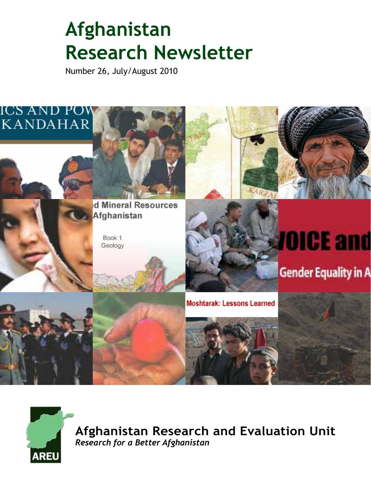# **Afghanistan Research Newsletter**

Number 26, July/August 2010





**Afghanistan Research and Evaluation Unit** *Research for a Better Afghanistan*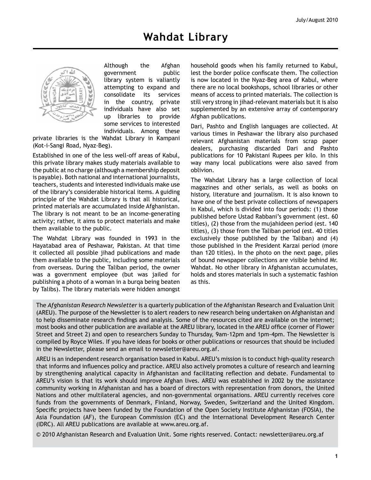

Although the Afghan government public library system is valiantly attempting to expand and consolidate its services in the country, private individuals have also set up libraries to provide some services to interested individuals. Among these

private libraries is the Wahdat Library in Kampani (Kot-i-Sangi Road, Nyaz-Beg).

Established in one of the less well-off areas of Kabul, this private library makes study materials available to the public at no charge (although a membership deposit is payable). Both national and international journalists, teachers, students and interested individuals make use of the library's considerable historical items. A guiding principle of the Wahdat Library is that all historical, printed materials are accumulated inside Afghanistan. The library is not meant to be an income-generating activity; rather, it aims to protect materials and make them available to the public.

The Wahdat Library was founded in 1993 in the Hayatabad area of Peshawar, Pakistan. At that time it collected all possible jihad publications and made them available to the public, including some materials from overseas. During the Taliban period, the owner was a government employee (but was jailed for publishing a photo of a woman in a burqa being beaten by Talibs). The library materials were hidden amongst household goods when his family returned to Kabul, lest the border police confiscate them. The collection is now located in the Nyaz-Beg area of Kabul, where there are no local bookshops, school libraries or other means of access to printed materials. The collection is still very strong in jihad-relevant materials but it is also supplemented by an extensive array of contemporary Afghan publications.

Dari, Pashto and English languages are collected. At various times in Peshawar the library also purchased relevant Afghanistan materials from scrap paper dealers, purchasing discarded Dari and Pashto publications for 10 Pakistani Rupees per kilo. In this way many local publications were also saved from oblivion.

The Wahdat Library has a large collection of local magazines and other serials, as well as books on history, literature and journalism. It is also known to have one of the best private collections of newspapers in Kabul, which is divided into four periods: (1) those published before Ustad Rabbani's government (est. 60 titles), (2) those from the mujahideen period (est. 140 titles), (3) those from the Taliban period (est. 40 titles exclusively those published by the Taliban) and (4) those published in the President Karzai period (more than 120 titles). In the photo on the next page, piles of bound newspaper collections are visible behind Mr. Wahdat. No other library in Afghanistan accumulates, holds and stores materials in such a systematic fashion as this.

The *Afghanistan Research Newsletter* is a quarterly publication of the Afghanistan Research and Evaluation Unit (AREU). The purpose of the Newsletter is to alert readers to new research being undertaken on Afghanistan and to help disseminate research findings and analysis. Some of the resources cited are available on the internet; most books and other publication are available at the AREU library, located in the AREU office (corner of Flower Street and Street 2) and open to researchers Sunday to Thursday, 9am-12pm and 1pm-4pm. The Newsletter is compiled by Royce Wiles. If you have ideas for books or other publications or resources that should be included in the Newsletter, please send an email to newsletter@areu.org.af.

AREU is an independent research organisation based in Kabul. AREU's mission is to conduct high-quality research that informs and influences policy and practice. AREU also actively promotes a culture of research and learning by strengthening analytical capacity in Afghanistan and facilitating reflection and debate. Fundamental to AREU's vision is that its work should improve Afghan lives. AREU was established in 2002 by the assistance community working in Afghanistan and has a board of directors with representation from donors, the United Nations and other multilateral agencies, and non-governmental organisations. AREU currently receives core funds from the governments of Denmark, Finland, Norway, Sweden, Switzerland and the United Kingdom. Specific projects have been funded by the Foundation of the Open Society Institute Afghanistan (FOSIA), the Asia Foundation (AF), the European Commission (EC) and the International Development Research Center (IDRC). All AREU publications are available at www.areu.org.af.

 $\odot$  2010 Afghanistan Research and Evaluation Unit. Some rights reserved. Contact: newsletter@areu.org.af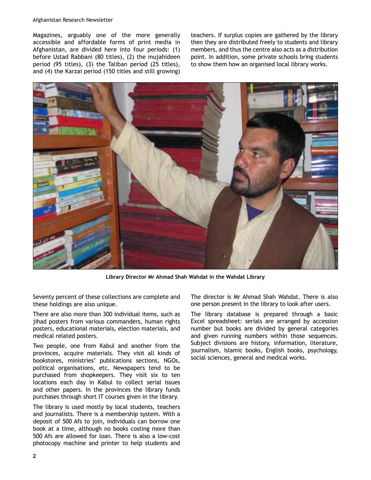#### Afghanistan Research Newsletter

Magazines, arguably one of the more generally accessible and affordable forms of print media in Afghanistan, are divided here into four periods: (1) before Ustad Rabbani (80 titles), (2) the mujahideen period (95 titles), (3) the Taliban period (25 titles), and (4) the Karzai period (150 titles and still growing)

teachers. If surplus copies are gathered by the library then they are distributed freely to students and library members, and thus the centre also acts as a distribution point. In addition, some private schools bring students to show them how an organised local library works.



**Library Director Mr Ahmad Shah Wahdat in the Wahdat Library**

Seventy percent of these collections are complete and these holdings are also unique.

There are also more than 300 individual items, such as jihad posters from various commanders, human rights posters, educational materials, election materials, and medical related posters.

Two people, one from Kabul and another from the provinces, acquire materials. They visit all kinds of bookstores, ministries' publications sections, NGOs, political organisations, etc. Newspapers tend to be purchased from shopkeepers. They visit six to ten locations each day in Kabul to collect serial issues and other papers. In the provinces the library funds purchases through short IT courses given in the library.

The library is used mostly by local students, teachers and journalists. There is a membership system. With a deposit of 500 Afs to join, individuals can borrow one book at a time, although no books costing more than 500 Afs are allowed for loan. There is also a low-cost photocopy machine and printer to help students and

The director is Mr Ahmad Shah Wahdat. There is also one person present in the library to look after users.

The library database is prepared through a basic Excel spreadsheet: serials are arranged by accession number but books are divided by general categories and given running numbers within those sequences. Subject divisions are history, information, literature, journalism, Islamic books, English books, psychology, social sciences, general and medical works.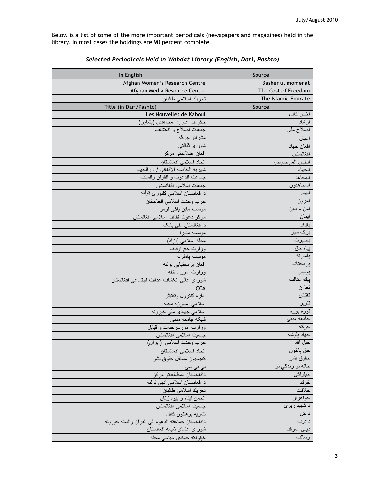Below is a list of some of the more important periodicals (newspapers and magazines) held in the library. In most cases the holdings are 90 percent complete.

| In English                                         | Source                    |  |
|----------------------------------------------------|---------------------------|--|
| Afghan Women's Research Centre                     | Basher ul momenat         |  |
| Afghan Media Resource Centre                       | The Cost of Freedom       |  |
| تحريك اسلامي طالبان                                | The Islamic Emirate       |  |
| Title (in Dari/Pashto)                             | Source                    |  |
| Les Nouvelles de Kaboul                            | اخبار كابل                |  |
| حکومت عبوری مجاهدین (پشاور)                        | ارشاد                     |  |
| جمعیت اصلاح و انکشاف                               | اصلاح ملی                 |  |
| مشرانو جرگه                                        | اعيان                     |  |
| شورای ثقافت <i>ی</i>                               | افغان جهاد                |  |
| افغان اطلاعاتي مركز                                | افغانستان                 |  |
| اتحاد اسلامي افغانستان                             | البنيان المرصوص           |  |
| شهريه الخاصه الافغاني / دار الجهاد                 | الجهاد                    |  |
| جماعت الدعوت و القران والسنت                       | المجاهد                   |  |
| جمعيت اسلامي افغانستان                             | المجاهدون                 |  |
| د افغانستان اسلامی کلتوری تولنه                    | الهام                     |  |
| حزب وحدت اسلامي افغانستان                          | امروز                     |  |
| موسسه ماین پاکۍ اومر                               | امن - ماين                |  |
| مركز دعوت ثقافت اسلامي افغانستان                   | ايمان                     |  |
| د افغانستان ملي بانک                               | بانک                      |  |
| موسسه مديرا                                        | برگ سبز                   |  |
| مجله اسلامي (ازاد)                                 | بصيرت                     |  |
| وزارت حج اوقاف                                     | پيام حق                   |  |
| موسسه پاملرنه                                      | پاملرنه                   |  |
| افغان پرمختيايي ټولنه                              | برمغتك                    |  |
| وزارت امور داخله                                   | پوليس<br><u>بيك عدالت</u> |  |
| شوراى عالى انكشاف عدالت اجتماعى افغانستان          |                           |  |
| <b>CCA</b>                                         | تعاون<br>تفتيش            |  |
| اداره كنترول وتفتيش                                |                           |  |
| اسلامی مبارزه مجله                                 | تنوير                     |  |
| اسلامي جهادي ملي خپرونه<br>شبكه جامعه مدنى         | توره بوره<br>جامعه مدني   |  |
| وزارت امورسرحدات و قبایل                           | جرگه                      |  |
| جمعيت اسلامي افغانستان                             | جهاد بلوشه                |  |
| حزب وحدت اسلامي (ابران)                            | حبل الله                  |  |
| اتحاد اسلامي افغانستان                             | حق پاڭون                  |  |
| كميسيون مستقل حقوق بشر                             | حقوق بشر                  |  |
| بی بی سی                                           | خانه نو زندگي نو          |  |
| دافغانستان دمطالعاتو مركز                          | خېلواكى                   |  |
| د افغانستان اسلامی ادبی ټولنه                      | څرك                       |  |
| تحريك اسلامي طالبان                                | خلافت                     |  |
| انجمن ابتام و بيوه زنان                            | خواهران                   |  |
| جمعيت اسلامي افغانستان                             | د شهید <u>زیری</u>        |  |
| نشريه پوهنتون كابل                                 | دانش                      |  |
| دافغانستان جماعته الدعوه المى القرأن والسنه خيرونه | دعوت                      |  |
| شوراي علماى شيعه افغانستان                         | ديني معرفت                |  |
| خپلواکه جهادي سياسي مجله                           | رسالت                     |  |

#### *Selected Periodicals Held in Wahdat Library (English, Dari, Pashto)*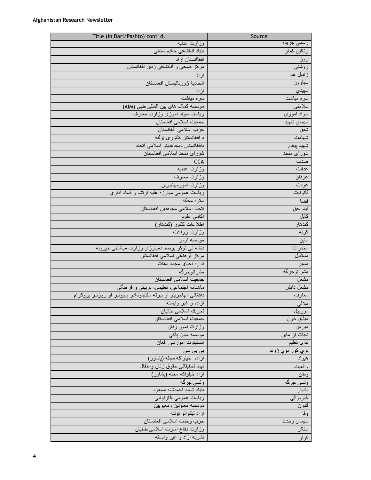| Title (in Dari/Pashto) cont d.                                | Source                   |  |
|---------------------------------------------------------------|--------------------------|--|
| وزارت عدليه                                                   | رس <i>مي</i> جريده       |  |
| بنیاد انکشافی حکیم سنائی                                      | رنګین کمان               |  |
| افغاانستان آزاد                                               | روز                      |  |
| مركز صحى و انكشافي زنان افغانستان                             | روشنى                    |  |
| ازاد                                                          | زنبيل غم                 |  |
| انحادية زورناليسنان افغانسنان                                 | سباوون                   |  |
| ازاد                                                          | سپيدي                    |  |
| سره میاشت                                                     | سره میاشت                |  |
| موسسه کمک های بین المللی طبی (AIM)                            | سلامتي                   |  |
| ریاست سواد اموزی وزارت معارف                                  | سواد اموزی               |  |
| جمعيت اسلامي افغاستان                                         | سيماي شهيد               |  |
| حزب اسلامي افغانستان                                          | شفق                      |  |
| د افغانستان کلتوری ټولنه                                      | شهامت                    |  |
| دافغانستان دمجاهدينو اسلامى اتحاد                             | شهيد بيغام               |  |
| شورای متحد اسلامی افغانستان                                   | شورای متحد               |  |
| <b>CCA</b>                                                    | صدف                      |  |
| وزارت عطيه                                                    | عدالت                    |  |
| وزارت معارف                                                   | عرفان                    |  |
| وزارت امورمهاجرين                                             | عودت                     |  |
| رياست عمومي مبارزه عليه ارتشا و فساد اداري                    | قانونيت                  |  |
| ستره محكه                                                     | قضا                      |  |
| انحاد اسلامى مجاهدين افغانستان                                | قيام حق                  |  |
| اکم <i>اني</i> علوم                                           | كابل                     |  |
| اطلاعات كلتور (كندهار)                                        | كندهار                   |  |
| وزارت زراعت                                                   | كرنه                     |  |
| موسسه اومر                                                    | ماين                     |  |
| دنشه ئی توکو پرضد دمبارزی وزارت میاشتنی خپرونه                | مخدرات                   |  |
| مركز فرهنكي اسلامي افغانستان                                  | مستقبل                   |  |
| اداره احیای مجدد دهات                                         | مسير                     |  |
| مشرانوجرگه                                                    | مشرانوجرگه               |  |
| جمعیت اسلامی افغانستان                                        | مشعل                     |  |
| ماهنامه اجتماعی، تعلیمی، تربیتی و فرهنگی                      | مشعل دانش                |  |
| دافغانی مهاجرینو او بیرته ستنیدونکیو ښوونیز او روزنیز پروګرام | معارف                    |  |
| ازاده و غیر وابسته                                            | <u>ملالي</u>             |  |
| تحريك اسلامي طالبان                                           | مورچل                    |  |
| جمعيت اسلامي افغانستان                                        | ميثاق خون                |  |
| وزارت امور زنان                                               | ميرمن                    |  |
| موسسه ماين پاکي                                               | نجات از ماین             |  |
| انستیتوت آموزشی افغا <i>ن</i>                                 | نداي تعليم               |  |
| بی بی سی                                                      | نوي کور نوي <u>ژون</u> د |  |
| ازاده خلواکه مجله (پشاور)                                     | هيواد                    |  |
| نهاد تحقيقاتي حقوق زنان واطفال                                | واقعيت                   |  |
| از اد خپلواکه مجله (پشاور)                                    | وطن                      |  |
| ولسي جرگه                                                     | ولسي جرگه                |  |
| بنياد شهيد احمدشاه مسعود                                      | ياديار                   |  |
| ریاست عمومی څارنوالی                                          | څار نو الي               |  |
| موسسه معلولين ومعيوبين                                        | ګډون                     |  |
| ازاد ليکوالو ټولنه                                            | وفا                      |  |
| حزب وحدت اسلامي افغانستان                                     | سيماي وحدت               |  |
| وزارت دفاع امارت اسلامي طالبان                                | سنګر                     |  |
| نشریه ازاد و غیر وابسته                                       | كوثر                     |  |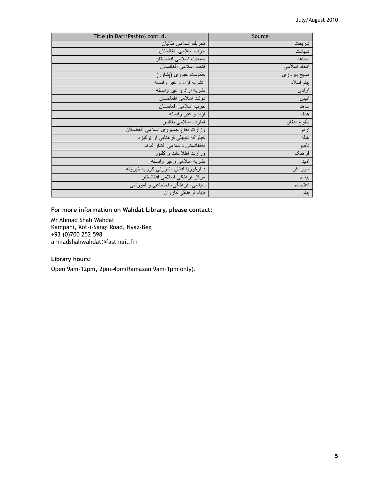| Title (in Dari/Pashto) cont d.     | Source       |
|------------------------------------|--------------|
| تحريك اسلامي طالبان                | شريعت        |
| حزب اسلامي افغانستان               | شهادت        |
| جمعيت اسلامي افغانستان             | مجاهد        |
| اتحاد اسلامي افغانستان             | اتحاد اسلامى |
| حکومت عبوری (پشاور)                | صبح پيروزي   |
| نشریه ازاد و غیر وابسته            | بيام اسلام   |
| نشریه ازاد و غیر وابسته            | از ادی       |
| دولت اسلامي افغانستان              | انيس         |
| حزب اسلامي افغانستان               | شاهد         |
| ازاد و غیر وابسته                  | هدف          |
| امارت اسلامي طالبان                | طلوع افغان   |
| وزارت دفاع جمهوري اسلامي افغانستان | اردو         |
| خلواکه نابییلی فر هنګی او ټولنیز ه | هيله         |
| دافغانستان داسلامی اقتدار گوند     | تكبير        |
| وزارت اطلاعات وكلتور               | فرهنگ        |
| نشريه اسلامى وغير وابسته           | امید         |
| د ارکوزیا افغان مشورتی ګروپ خپرونه | سور غر       |
| مركز فرهنكي اسلامي افغانستان       | ييغام        |
| سیاسی، فرهنگی، اجتماعی و أموزشی    | اعتصام       |
| بنیاد فر هنگی کاروان               | پيام         |

#### **For more information on Wahdat Library, please contact:**

Mr Ahmad Shah Wahdat Kampani, Kot-i-Sangi Road, Nyaz-Beg +93 (0)700 252 598 ahmadshahwahdat@fastmail.fm

## **Library hours:**

Open 9am-12pm, 2pm-4pm(Ramazan 9am-1pm only).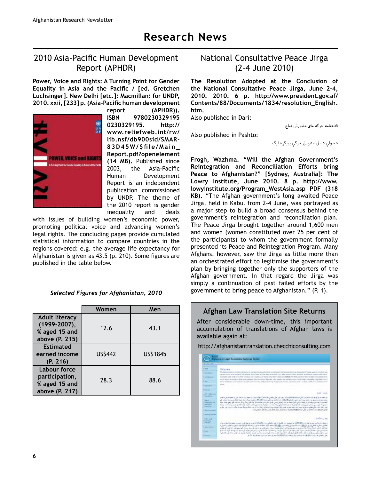# 2010 Asia-Pacific Human Development Report (APHDR)

**Power, Voice and Rights: A Turning Point for Gender**  Equality in Asia and the Pacific / [ed. Gretchen **Luchsinger]. New Delhi [etc.]: Macmillan: for UNDP,**  2010. xxii, [233] p. (Asia-Pacific human development



**report (APHDR)). ISBN 9780230329195 0230329195. http:// www.reliefweb.int/rw/** lib.nsf/db900sid/SMAR-83D45W/\$file/Main\_ **Report.pdf?openelement (14 MB).** Published since 2003, the Asia-Pacific Human Development Report is an independent publication commissioned by UNDP. The theme of the 2010 report is gender inequality and deals

with issues of building women's economic power, promoting political voice and advancing women's legal rights. The concluding pages provide cumulated statistical information to compare countries in the regions covered: e.g. the average life expectancy for Afghanistan is given as 43.5 (p. 210). Some figures are published in the table below.

|                                                                              | Women          | Men      |
|------------------------------------------------------------------------------|----------------|----------|
| <b>Adult literacy</b><br>$(1999 - 2007),$<br>% aged 15 and<br>above (P. 215) | 12.6           | 43.1     |
| <b>Estimated</b><br>earned income<br>(P. 216)                                | <b>US\$442</b> | US\$1845 |
| Labour force<br>participation,<br>% aged 15 and<br>above (P. 217)            | 28.3           | 88.6     |

*Selected Figures for Afghanistan, 2010*

# National Consultative Peace Jirga (2-4 June 2010)

**The Resolution Adopted at the Conclusion of**  the National Consultative Peace Jirga, June 2-4, **2010. 2010. 6 p. http://www.president.gov.af/ Contents/88/Documents/1834/resolution\_English. htm.**

Also published in Dari:

قطعنامه جرگه مای مشورتی صاح

Also published in Pashto:

د سولې د ملي مشورتي جرګې پرېکړه لیک

**Frogh, Wazhma. "Will the Afghan Government's Reintegration and Reconciliation Efforts bring Peace to Afghanistan?" [Sydney, Australia]: The Lowry Institute, June 2010. 8 p. http://www. lowyinstitute.org/Program\_WestAsia.asp PDF (318 KB).** "The Afghan government's long awaited Peace Jirga, held in Kabul from 2-4 June, was portrayed as a major step to build a broad consensus behind the government's reintegration and reconciliation plan. The Peace Jirga brought together around 1,600 men and women (women constituted over 25 per cent of the participants) to whom the government formally presented its Peace and Reintegration Program. Many Afghans, however, saw the Jirga as little more than an orchestrated effort to legitimise the government's plan by bringing together only the supporters of the Afghan government. In that regard the Jirga was simply a continuation of past failed efforts by the government to bring peace to Afghanistan." (P. 1).

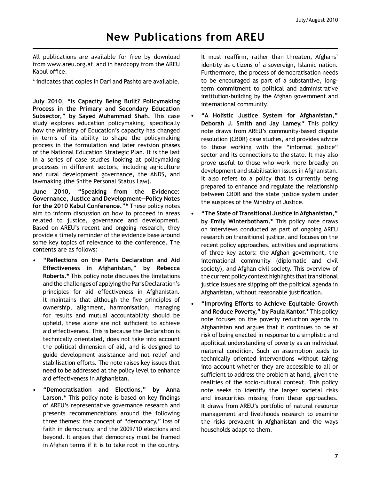All publications are available for free by download from www.areu.org.af and in hardcopy from the AREU Kabul office.

\* indicates that copies in Dari and Pashto are available.

**July 2010, "Is Capacity Being Built? Policymaking Process in the Primary and Secondary Education Subsector," by Sayed Muhammad Shah.** This case study explores education policymaking, specifically how the Ministry of Education's capacity has changed in terms of its ability to shape the policymaking process in the formulation and later revision phases of the National Education Strategic Plan. It is the last in a series of case studies looking at policymaking processes in different sectors, including agriculture and rural development governance, the ANDS, and lawmaking (the Shiite Personal Status Law).

**June 2010, "Speaking from the Evidence: Governance, Justice and Development—Policy Notes for the 2010 Kabul Conference."\*** These policy notes aim to inform discussion on how to proceed in areas related to justice, governance and development. Based on AREU's recent and ongoing research, they provide a timely reminder of the evidence base around some key topics of relevance to the conference. The contents are as follows:

- "Reflections on the Paris Declaration and Aid **Effectiveness in Afghanistan," by Rebecca Roberts.\*** This policy note discusses the limitations and the challenges of applying the Paris Declaration's principles for aid effectiveness in Afghanistan. It maintains that although the five principles of ownership, alignment, harmonisation, managing for results and mutual accountability should be upheld, these alone are not sufficient to achieve aid effectiveness. This is because the Declaration is technically orientated, does not take into account the political dimension of aid, and is designed to guide development assistance and not relief and stabilisation efforts. The note raises key issues that need to be addressed at the policy level to enhance aid effectiveness in Afghanistan.
- **"Democratisation and Elections," by Anna**  Larson.\* This policy note is based on key findings of AREU's representative governance research and presents recommendations around the following three themes: the concept of "democracy," loss of faith in democracy, and the 2009/10 elections and beyond. It argues that democracy must be framed in Afghan terms if it is to take root in the country.

It must reaffirm, rather than threaten, Afghans' identity as citizens of a sovereign, Islamic nation. Furthermore, the process of democratisation needs to be encouraged as part of a substantive, longterm commitment to political and administrative institution-building by the Afghan government and international community.

- **"A Holistic Justice System for Afghanistan," Deborah J. Smith and Jay Lamey.\*** This policy note draws from AREU's community-based dispute resolution (CBDR) case studies, and provides advice to those working with the "informal justice" sector and its connections to the state. It may also prove useful to those who work more broadly on development and stabilisation issues in Afghanistan. It also refers to a policy that is currently being prepared to enhance and regulate the relationship between CBDR and the state justice system under the auspices of the Ministry of Justice.
- **"The State of Transitional Justice in Afghanistan," by Emily Winterbotham.\*** This policy note draws on interviews conducted as part of ongoing AREU research on transitional justice, and focuses on the recent policy approaches, activities and aspirations of three key actors: the Afghan government, the international community (diplomatic and civil society), and Afghan civil society. This overview of the current policy context highlights that transitional justice issues are slipping off the political agenda in Afghanistan, without reasonable justification.
- **"Improving Efforts to Achieve Equitable Growth and Reduce Poverty," by Paula Kantor.\*** This policy note focuses on the poverty reduction agenda in Afghanistan and argues that it continues to be at risk of being enacted in response to a simplistic and apolitical understanding of poverty as an individual material condition. Such an assumption leads to technically oriented interventions without taking into account whether they are accessible to all or sufficient to address the problem at hand, given the realities of the socio-cultural context. This policy note seeks to identify the larger societal risks and insecurities missing from these approaches. It draws from AREU's portfolio of natural resource management and livelihoods research to examine the risks prevalent in Afghanistan and the ways households adapt to them.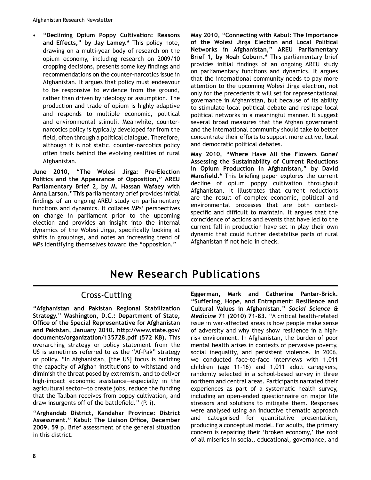**"Declining Opium Poppy Cultivation: Reasons and Effects," by Jay Lamey.\*** This policy note, drawing on a multi-year body of research on the opium economy, including research on 2009/10 cropping decisions, presents some key findings and recommendations on the counter-narcotics issue in Afghanistan. It argues that policy must endeavour to be responsive to evidence from the ground, rather than driven by ideology or assumption. The production and trade of opium is highly adaptive and responds to multiple economic, political and environmental stimuli. Meanwhile, counternarcotics policy is typically developed far from the field, often through a political dialogue. Therefore, although it is not static, counter-narcotics policy often trails behind the evolving realities of rural Afghanistan.

June 2010, "The Wolesi Jirga: Pre-Election **Politics and the Appearance of Opposition," AREU Parliamentary Brief 2, by M. Hassan Wafaey with Anna Larson.\*** This parliamentary brief provides initial findings of an ongoing AREU study on parliamentary functions and dynamics. It collates MPs' perspectives on change in parliament prior to the upcoming election and provides an insight into the internal dynamics of the Wolesi Jirga, specifically looking at shifts in groupings, and notes an increasing trend of MPs identifying themselves toward the "opposition."

**May 2010, "Connecting with Kabul: The Importance of the Wolesi Jirga Election and Local Political Networks in Afghanistan," AREU Parliamentary Brief 1, by Noah Coburn.\*** This parliamentary brief provides initial findings of an ongoing AREU study on parliamentary functions and dynamics. It argues that the international community needs to pay more attention to the upcoming Wolesi Jirga election, not only for the precedents it will set for representational governance in Afghanistan, but because of its ability to stimulate local political debate and reshape local political networks in a meaningful manner. It suggest several broad measures that the Afghan government and the international community should take to better concentrate their efforts to support more active, local and democratic political debates.

**May 2010, "Where Have All the Flowers Gone? Assessing the Sustainability of Current Reductions in Opium Production in Afghanistan," by David**  Mansfield.\* This briefing paper explores the current decline of opium poppy cultivation throughout Afghanistan. It illustrates that current reductions are the result of complex economic, political and environmental processes that are both contextspecific and difficult to maintain. It argues that the coincidence of actions and events that have led to the current fall in production have set in play their own dynamic that could further destabilise parts of rural Afghanistan if not held in check.

# **New Research Publications**

# Cross-Cutting

**"Afghanistan and Pakistan Regional Stabilization Strategy." Washington, D.C.: Department of State, 2** Office of the Special Representative for Afghanistan **and Pakistan, January 2010. http://www.state.gov/ documents/organization/135728.pdf (572 KB).** This overarching strategy or policy statement from the US is sometimes referred to as the "Af-Pak" strategy or policy. "In Afghanistan, [the US] focus is building the capacity of Afghan institutions to withstand and diminish the threat posed by extremism, and to deliver high-impact economic assistance—especially in the agricultural sector—to create jobs, reduce the funding that the Taliban receives from poppy cultivation, and draw insurgents off of the battlefield." (P. i).

**"Arghandab District, Kandahar Province: District**  Assessment." Kabul: The Liaison Office, December **2009. 59 p.** Brief assessment of the general situation in this district.

Eggerman, Mark and Catherine Panter-Brick. **"Suffering, Hope, and Entrapment: Resilience and Cultural Values in Afghanistan."** *Social Science & Medicine* 71 (2010) 71-83. "A critical health-related issue in war-affected areas is how people make sense of adversity and why they show resilience in a highrisk environment. In Afghanistan, the burden of poor mental health arises in contexts of pervasive poverty, social inequality, and persistent violence. In 2006, we conducted face-to-face interviews with 1,011 children (age  $11-16$ ) and  $1,011$  adult caregivers, randomly selected in a school-based survey in three northern and central areas. Participants narrated their experiences as part of a systematic health survey, including an open-ended questionnaire on major life stressors and solutions to mitigate them. Responses were analysed using an inductive thematic approach and categorised for quantitative presentation, producing a conceptual model. For adults, the primary concern is repairing their 'broken economy,' the root of all miseries in social, educational, governance, and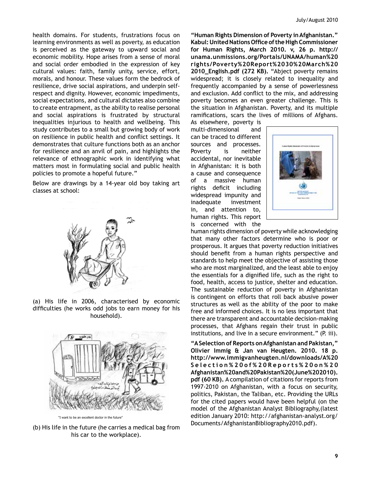health domains. For students, frustrations focus on learning environments as well as poverty, as education is perceived as the gateway to upward social and economic mobility. Hope arises from a sense of moral and social order embodied in the expression of key cultural values: faith, family unity, service, effort, morals, and honour. These values form the bedrock of resilience, drive social aspirations, and underpin selfrespect and dignity. However, economic impediments, social expectations, and cultural dictates also combine to create entrapment, as the ability to realise personal and social aspirations is frustrated by structural inequalities injurious to health and wellbeing. This study contributes to a small but growing body of work on resilience in public health and conflict settings. It demonstrates that culture functions both as an anchor for resilience and an anvil of pain, and highlights the relevance of ethnographic work in identifying what matters most in formulating social and public health policies to promote a hopeful future."

Below are drawings by a 14-year old boy taking art classes at school:



(a) His life in 2006, characterised by economic difficulties (he works odd jobs to earn money for his household).



"I want to be an excellent doctor in the future"

(b) His life in the future (he carries a medical bag from his car to the workplace).

**"Human Rights Dimension of Poverty in Afghanistan."**  Kabul: United Nations Office of the High Commissioner **for Human Rights, March 2010. v, 26 p. http:// unama.unmissions.org/Portals/UNAMA/human%20 rights/Poverty%20Report%2030%20March%20 2010\_English.pdf (272 KB).** "Abject poverty remains widespread; it is closely related to inequality and frequently accompanied by a sense of powerlessness and exclusion. Add conflict to the mix, and addressing poverty becomes an even greater challenge. This is the situation in Afghanistan. Poverty, and its multiple ramifications, scars the lives of millions of Afghans.

As elsewhere, poverty is multi-dimensional and can be traced to different sources and processes. Poverty is neither accidental, nor inevitable in Afghanistan: it is both a cause and consequence of a massive human rights deficit including widespread impunity and inadequate investment in, and attention to, human rights. This report is concerned with the



human rights dimension of poverty while acknowledging that many other factors determine who is poor or prosperous. It argues that poverty reduction initiatives should benefit from a human rights perspective and standards to help meet the objective of assisting those who are most marginalized, and the least able to enjoy the essentials for a dignified life, such as the right to food, health, access to justice, shelter and education. The sustainable reduction of poverty in Afghanistan is contingent on efforts that roll back abusive power structures as well as the ability of the poor to make free and informed choices. It is no less important that there are transparent and accountable decision-making processes, that Afghans regain their trust in public institutions, and live in a secure environment." (P. iii).

**"A Selection of Reports on Afghanistan and Pakistan," Olivier Immig & Jan van Heugten. 2010. 18 p. http://www.immigvanheugten.nl/downloads/A%20 Selection%20of%20Reports%20on%20 Afghanistan%20and%20Pakistan%20(June%202010). pdf (60 KB).** A compilation of citations for reports from 1997-2010 on Afghanistan, with a focus on security, politics, Pakistan, the Taliban, etc. Providing the URLs for the cited papers would have been helpful (on the model of the Afghanistan Analyst Bibliography,(latest edition January 2010: http://afghanistan-analyst.org/ Documents/AfghanistanBibliography2010.pdf).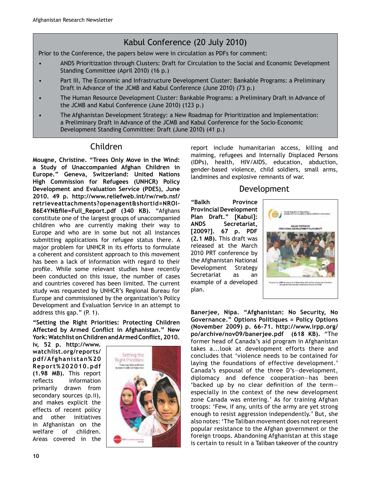# Kabul Conference (20 July 2010)

Prior to the Conference, the papers below were in circulation as PDFs for comment:

- ANDS Prioritization through Clusters: Draft for Circulation to the Social and Economic Development Standing Committee (April 2010) (16 p.)
- Part III, The Economic and Infrastructure Development Cluster: Bankable Programs: a Preliminary Draft in Advance of the JCMB and Kabul Conference (June 2010) (73 p.)
- The Human Resource Development Cluster: Bankable Programs: a Preliminary Draft in Advance of the JCMB and Kabul Conference (June 2010)  $(123 p.)$
- The Afghanistan Development Strategy: a New Roadmap for Prioritization and Implementation: a Preliminary Draft in Advance of the JCMB and Kabul Conference for the Socio-Economic Development Standing Committee: Draft (June 2010) (41 p.)

# Children

**Mougne, Christine. "Trees Only Move in the Wind: a Study of Unaccompanied Afghan Children in Europe." Geneva, Switzerland: United Nations High Commission for Refugees (UNHCR) Policy Development and Evaluation Service (PDES), June 2010. 49 p. http://www.reliefweb.int/rw/rwb.nsf/ retrieveattachments?openagent&shortid=NROIN** 86E4YN&file=Full Report.pdf (340 KB). "Afghans constitute one of the largest groups of unaccompanied children who are currently making their way to Europe and who are in some but not all instances submitting applications for refugee status there. A major problem for UNHCR in its efforts to formulate a coherent and consistent approach to this movement has been a lack of information with regard to their profile. While some relevant studies have recently been conducted on this issue, the number of cases and countries covered has been limited. The current study was requested by UNHCR's Regional Bureau for Europe and commissioned by the organization's Policy Development and Evaluation Service in an attempt to address this gap." (P. 1).

**"Setting the Right Priorities: Protecting Children**  Affected by Armed Conflict in Afghanistan." New York: Watchlist on Children and Armed Conflict, 2010.

**iv, 52 p. http://www. watchlist.org/reports/ pdf/Afghanistan%20 Report%202010.pdf (1.98 MB).** This report reflects information primarily drawn from secondary sources (p.ii), and makes explicit the effects of recent policy and other initiatives in Afghanistan on the welfare of children. Areas covered in the



report include humanitarian access, killing and maiming, refugees and Internally Displaced Persons (IDPs), health, HIV/AIDS, education, abduction, gender-based violence, child soldiers, small arms, landmines and explosive remnants of war.

# Development

**"Balkh Province Provincial Development Plan Draft." [Kabul]: ANDS Secretariat, [2009?]. 67 p. PDF (2.1 MB).** This draft was released at the March 2010 PRT conference by the Afghanistan National Development Strategy Secretariat as an example of a developed plan.



**Banerjee, Nipa. "Afghanistan: No Security, No Governance." Options Politiques = Policy Options (November 2009) p. 66N71. http://www.irpp.org/ po/archive/nov09/banerjee.pdf (618 KB).** "The former head of Canada's aid program in Afghanistan takes a...look at development efforts there and concludes that 'violence needs to be contained for laying the foundations of effective development.' Canada's espousal of the three D's-development, diplomacy and defence cooperation—has been 'backed up by no clear definition of the termespecially in the context of the new development zone Canada was entering.' As for training Afghan troops: 'Few, if any, units of the army are yet strong enough to resist aggression independently.' But, she also notes: 'The Taliban movement does not represent popular resistance to the Afghan government or the foreign troops. Abandoning Afghanistan at this stage is certain to result in a Taliban takeover of the country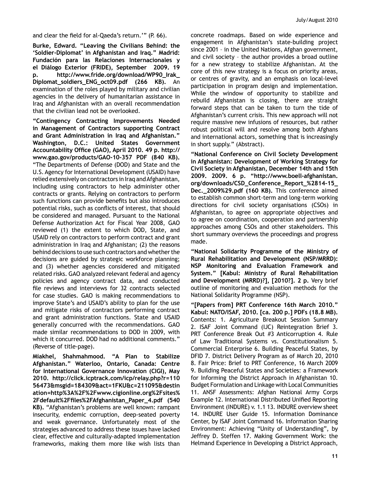and clear the field for al-Qaeda's return.""  $(P. 66)$ .

**Burke, Edward. "Leaving the Civilians Behind: the**  'Soldier-Diplomat' in Afghanistan and Iraq." Madrid: **Fundación para las Relaciones Internacionales y el Diálogo Exterior (FRIDE), September 2009. 19 p. http://www.fride.org/download/WP90\_Irak\_ Diplomat\_soldiers\_ENG\_oct09.pdf (266 KB).** An examination of the roles played by military and civilian agencies in the delivery of humanitarian assistance in Iraq and Afghanistan with an overall recommendation that the civilian lead not be overlooked.

**"Contingency Contracting Improvements Needed in Management of Contractors supporting Contract and Grant Administration in Iraq and Afghanistan." Washington, D.C.: United States Government**  Accountability Office (GAO), April 2010. 49 p. http:// www.gao.gov/products/GAO-10-357 PDF (840 KB). "The Departments of Defense (DOD) and State and the U.S. Agency for International Development (USAID) have relied extensively on contractors in Iraq and Afghanistan, including using contractors to help administer other contracts or grants. Relying on contractors to perform such functions can provide benefits but also introduces potential risks, such as conflicts of interest, that should be considered and managed. Pursuant to the National Defense Authorization Act for Fiscal Year 2008, GAO reviewed (1) the extent to which DOD, State, and USAID rely on contractors to perform contract and grant administration in Iraq and Afghanistan; (2) the reasons behind decisions to use such contractors and whether the decisions are guided by strategic workforce planning; and (3) whether agencies considered and mitigated related risks. GAO analyzed relevant federal and agency policies and agency contract data, and conducted file reviews and interviews for 32 contracts selected for case studies. GAO is making recommendations to improve State's and USAID's ability to plan for the use and mitigate risks of contractors performing contract and grant administration functions. State and USAID generally concurred with the recommendations. GAO made similar recommendations to DOD in 2009, with which it concurred. DOD had no additional comments." (Reverse of title-page).

**Miakhel, Shahmahmood. "A Plan to Stabilize Afghanistan." Waterloo, Ontario, Canada: Centre for International Governance Innovation (CIGI), May 2010. http://click.icptrack.com/icp/relay.php?r=110 56473&msgid=184309&act=1FKU&c=211095&destin ation=http%3A%2F%2Fwww.cigionline.org%2Fsites%** 2Fdefault%2Ffiles%2FAfghanistan\_Paper\_4.pdf (540 KB). "Afghanistan's problems are well known: rampant insecurity, endemic corruption, deep-seated poverty and weak governance. Unfortunately most of the strategies advanced to address these issues have lacked clear, effective and culturally-adapted implementation frameworks, making them more like wish lists than

concrete roadmaps. Based on wide experience and engagement in Afghanistan's state-building project since 2001 – in the United Nations, Afghan government, and civil society – the author provides a broad outline for a new strategy to stabilize Afghanistan. At the core of this new strategy is a focus on priority areas, or centres of gravity, and an emphasis on local-level participation in program design and implementation. While the window of opportunity to stabilize and rebuild Afghanistan is closing, there are straight forward steps that can be taken to turn the tide of Afghanistan's current crisis. This new approach will not require massive new infusions of resources, but rather robust political will and resolve among both Afghans and international actors, something that is increasingly in short supply." (Abstract).

**"National Conference on Civil Society Development in Afghanistan: Development of Working Strategy for Civil Society in Afghanistan, December 14th and 15th**  2009. 2009. 6 p. "http://www.boell-afghanistan. org/downloads/CSD\_Conference\_Report\_%2814-15\_ **Dec.\_2009%29.pdf (160 KB).** This conference aimed to establish common short-term and long-term working directions for civil society organisations (CSOs) in Afghanistan, to agree on appropriate objectives and to agree on coordination, cooperation and partnership approaches among CSOs and other stakeholders. This short summary overviews the proceedings and progress made.

**"National Solidarity Programme of the Ministry of Rural Rehabilitation and Development (NSP/MRRD): NSP Monitoring and Evaluation Framework and System." [Kabul: Ministry of Rural Rehabilitation and Development (MRRD)?], [2010?]. 2 p.** Very brief outline of monitoring and evaluation methods for the National Solidarity Programme (NSP).

**"[Papers from] PRT Conference 16th March 2010." Kabul: NATO/ISAF, 2010. [ca. 200 p.] PDFs (18.8 MB).**  Contents: 1. Agriculture Breakout Session Summary 2. ISAF Joint Command (IJC) Reintegration Brief 3. PRT Conference Break Out #3 Anticorruption 4. Rule of Law Traditional Systems vs. Constitutionalism 5. Commercial Enterprise 6. Building Peaceful States, by DFID 7. District Delivery Program as of March 20, 2010 8. Fair Price: Brief to PRT Conference, 16 March 2009 9. Building Peaceful States and Societies: a Framework for Informing the District Approach in Afghanistan 10. Budget Formulation and Linkage with Local Communities 11. ANSF Assessments: Afghan National Army Corps Example 12. International Distributed Unified Reporting Environment (INDURE) v. 1.1 13. INDURE overview sheet 14. INDURE User Guide 15. Information Dominance Center, by ISAF Joint Command 16. Information Sharing Environment: Achieving "Unity of Understanding", by Jeffrey D. Steffen 17. Making Government Work: the Helmand Experience in Developing a District Approach,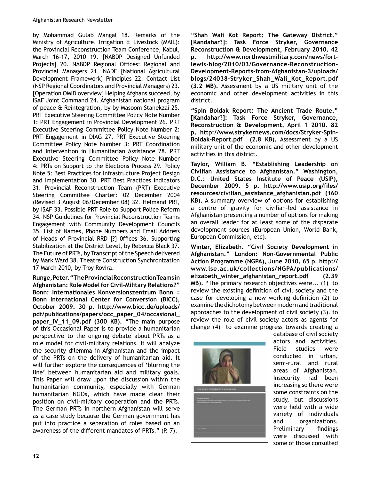by Mohammad Gulab Mangal 18. Remarks of the Ministry of Agriculture, Irrigation  $\hat{a}$  Livestock (MAIL): the Provincial Reconstruction Team Conference, Kabul, March 16-17, 2010 19. [NABDP Designed Unfunded Projects] 20. NABDP Regional Offices: Regional and Provincial Managers 21. NADF [National Agricultural Development Framework] Principles 22. Contact List (NSP Regional Coordinators and Provincial Managers) 23. [Operation OMID overview] Helping Afghans succeed, by ISAF Joint Command 24. Afghanistan national program of peace & Reintegration, by by Masoom Stanekzai 25. PRT Executive Steering Committee Policy Note Number 1: PRT Engagement in Provincial Development 26. PRT Executive Steering Committee Policy Note Number 2: PRT Engagement in DIAG 27. PRT Executive Steering Committee Policy Note Number 3: PRT Coordination and Intervention in Humanitarian Assistance 28. PRT Executive Steering Committee Policy Note Number 4: PRTs on Support to the Elections Process 29. Policy Note 5: Best Practices for Infrastructure Project Design and Implementation 30. PRT Best Practices Indicators 31. Provincial Reconstruction Team (PRT) Executive Steering Committee Charter: 02 December 2004 (Revised 3 August 06/December 08) 32. Helmand PRT, by ISAF 33. Possible PRT Role to Support Police Reform 34. NSP Guidelines for Provincial Reconstruction Teams Engagement with Community Development Councils 35. List of Names, Phone Numbers and Email Address of Heads of Provincial RRD [?] Offices 36. Supporting Stabilization at the District Level, by Rebecca Black 37. The Future of PRTs, by Transcript of the Speech delivered by Mark Ward 38. Theatre Construction Synchronization 17 March 2010, by Troy Rovira.

**Runge, Peter. "The Provincial Reconstruction Teams in**  Afghanistan: Role Model for Civil-Military Relations?" **Bonn: Internationales Konversionszentrum Bonn = Bonn International Center for Conversion (BICC), October 2009. 30 p. http://www.bicc.de/uploads/ pdf/publications/papers/occ\_paper\_04/occasional\_ paper\_IV\_11\_09.pdf (300 KB).** "The main purpose of this Occasional Paper is to provide a humanitarian perspective to the ongoing debate about PRTs as a role model for civil-military relations. It will analyze the security dilemma in Afghanistan and the impact of the PRTs on the delivery of humanitarian aid. It will further explore the consequences of 'blurring the line' between humanitarian aid and military goals. This Paper will draw upon the discussion within the humanitarian community, especially with German humanitarian NGOs, which have made clear their position on civil-military cooperation and the PRTs. The German PRTs in northern Afghanistan will serve as a case study because the German government has put into practice a separation of roles based on an awareness of the different mandates of PRTs." (P. 7).

**"Shah Wali Kot Report: The Gateway District." [Kandahar?]: Task Force Stryker, Governance Reconstruction & Development, February 2010. 42**  p. http://www.northwestmilitary.com/news/fortlewis-blog/2010/03/Governance-Reconstruction-Development-Reports-from-Afghanistan-3/uploads/ blogs/24038-Stryker\_Shah\_Wali\_Kot\_Report.pdf **(3.2 MB).** Assessment by a US military unit of the economic and other development activities in this district.

**"Spin Boldak Report: The Ancient Trade Route." [Kandahar?]: Task Force Stryker, Governance, Reconstruction & Development, April 1 2010. 82**  p. http://www.strykernews.com/docs/Stryker-Spin-Boldak-Report.pdf (2.8 KB). Assessment by a US military unit of the economic and other development activities in this district.

**Taylor, William B. "Establishing Leadership on Civilian Assistance to Afghanistan." Washington, D.C.: United States Institute of Peace (USIP),**  December 2009. 5 p. http://www.usip.org/files/ **resources/civilian\_assistance\_afghanistan.pdf (160 KB).** A summary overview of options for establishing a centre of gravity for civilian-led assistance in Afghanistan presenting a number of options for making an overall leader for at least some of the disparate development sources (European Union, World Bank, European Commission, etc).

**Winter, Elizabeth. "Civil Society Development in**  Afghanistan." London: Non-Governmental Public **Action Programme (NGPA), June 2010. 65 p. http:// www.lse.ac.uk/collections/NGPA/publications/ elizabeth\_winter\_afghanistan\_report.pdf (2.39 MB).** "The primary research objectives were... (1) to review the existing definition of civil society and the case for developing a new working definition  $(2)$  to examine the dichotomy between modern and traditional approaches to the development of civil society (3). to review the role of civil society actors as agents for change (4) to examine progress towards creating a



database of civil society actors and activities. Field studies were conducted in urban, semi-rural and rural areas of Afghanistan. Insecurity had been increasing so there were some constraints on the study, but discussions were held with a wide variety of individuals and organizations. Preliminary findings were discussed with some of those consulted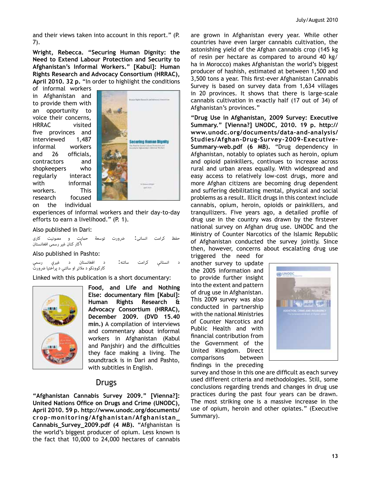and their views taken into account in this report." (P. 7).

**Wright, Rebecca. "Securing Human Dignity: the Need to Extend Labour Protection and Security to Afghanistan's Informal Workers." [Kabul]: Human Rights Research and Advocacy Consortium (HRRAC), April 2010. 32 p.** "In order to highlight the conditions

of informal workers in Afghanistan and to provide them with an opportunity to voice their concerns, HRRAC visited five provinces and interviewed 1,487 informal workers and 26 officials, contractors and shopkeepers who regularly interact with informal workers. This research focused on the individual



experiences of informal workers and their day-to-day efforts to earn a livelihood." (P. 1).

#### Also published in Dari:

کرامت انسانی: ضرورت توسعهٔ حمایت و مصونیت کاری \کار کنان غیر رسمی افغانستان

Also published in Pashto:

ساتنه : د افغانستان د غیرې رسمې<br>کارکوونکو د ملاتړ او ساتنې د پراختیا ضرورت

Linked with this publication is a short documentary:



**Food, and Life and Nothing Else: documentary film [Kabul]: Human Rights Research & Advocacy Consortium (HRRAC), December 2009. (DVD 15.40 min.)** A compilation of interviews and commentary about informal workers in Afghanistan (Kabul and Panishir) and the difficulties they face making a living. The soundtrack is in Dari and Pashto, with subtitles in English.

# Drugs

**"Afghanistan Cannabis Survey 2009." [Vienna?]: United Nations Office on Drugs and Crime (UNODC), April 2010. 59 p. http://www.unodc.org/documents/ cropNmonitoring/Afghanistan/Afghanistan\_ Cannabis\_Survey\_2009.pdf (4 MB).** "Afghanistan is the world's biggest producer of opium. Less known is the fact that 10,000 to 24,000 hectares of cannabis

are grown in Afghanistan every year. While other countries have even larger cannabis cultivation, the astonishing yield of the Afghan cannabis crop (145 kg of resin per hectare as compared to around 40 kg/ ha in Morocco) makes Afghanistan the world's biggest producer of hashish, estimated at between 1,500 and 3,500 tons a year. This first-ever Afghanistan Cannabis Survey is based on survey data from 1,634 villages in 20 provinces. It shows that there is large-scale cannabis cultivation in exactly half (17 out of 34) of Afghanistan's provinces."

**"Drug Use in Afghanistan, 2009 Survey: Executive Summary." [Vienna?] UNODC, 2010. 19 p. http://** www.unodc.org/documents/data-and-analysis/ Studies/Afghan-Drug-Survey-2009-Executive-Summary-web.pdf (6 MB). "Drug dependency in Afghanistan, notably to opiates such as heroin, opium and opioid painkillers, continues to increase across rural and urban areas equally. With widespread and easy access to relatively low-cost drugs, more and more Afghan citizens are becoming drug dependent and suffering debilitating mental, physical and social problems as a result. Illicit drugs in this context include cannabis, opium, heroin, opioids or painkillers, and tranguilizers. Five years ago, a detailed profile of drug use in the country was drawn by the firstever national survey on Afghan drug use. UNODC and the Ministry of Counter Narcotics of the Islamic Republic of Afghanistan conducted the survey jointly. Since then, however, concerns about escalating drug use

triggered the need for another survey to update the 2005 information and to provide further insight into the extent and pattern of drug use in Afghanistan. This 2009 survey was also conducted in partnership with the national Ministries of Counter Narcotics and Public Health and with financial contribution from the Government of the United Kingdom. Direct comparisons between findings in the preceding



survey and those in this one are difficult as each survey used different criteria and methodologies. Still, some conclusions regarding trends and changes in drug use practices during the past four years can be drawn. The most striking one is a massive increase in the use of opium, heroin and other opiates." (Executive Summary).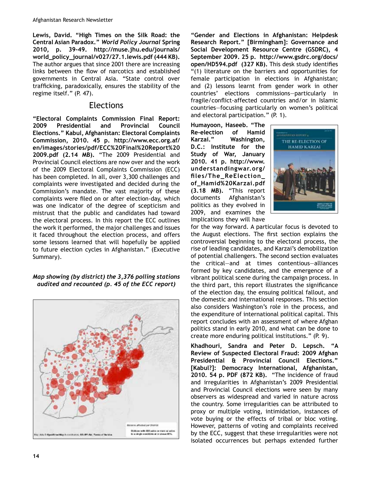**Lewis, David. "High Times on the Silk Road: the Central Asian Paradox."** *World Policy Journal* **Spring**  2010, p. 39-49. http://muse.jhu.edu/journals/ **world\_policy\_journal/v027/27.1.lewis.pdf (444 KB).** The author argues that since 2001 there are increasing links between the flow of narcotics and established governments in Central Asia. "State control over trafficking, paradoxically, ensures the stability of the regime itself." (P. 47).

## Elections

**"Electoral Complaints Commission Final Report: 2009 Presidential and Provincial Council Elections." Kabul, Afghanistan: Electoral Complaints Commission, 2010. 45 p. http://www.ecc.org.af/ en/images/stories/pdf/ECC%20Final%20Report%20 2009.pdf (2.14 MB).** "The 2009 Presidential and Provincial Council elections are now over and the work of the 2009 Electoral Complaints Commission (ECC) has been completed. In all, over 3,300 challenges and complaints were investigated and decided during the Commission's mandate. The vast majority of these complaints were filed on or after election-day, which was one indicator of the degree of scepticism and mistrust that the public and candidates had toward the electoral process. In this report the ECC outlines the work it performed, the major challenges and issues it faced throughout the election process, and offers some lessons learned that will hopefully be applied to future election cycles in Afghanistan." (Executive Summary).

#### *Map showing (by district) the 3,376 polling stations audited and recounted (p. 45 of the ECC report)*



**"Gender and Elections in Afghanistan: Helpdesk Research Report." [Birmingham]: Governance and Social Development Resource Centre (GSDRC), 4 September 2009. 25 p. http://www.gsdrc.org/docs/** open/HD594.pdf (327 KB). This desk study identifies "(1) literature on the barriers and opportunities for female participation in elections in Afghanistan; and (2) lessons learnt from gender work in other countries' elections commissions—particularly in fragile/conflict-affected countries and/or in Islamic countries—focusing particularly on women's political and electoral participation." (P. 1).

**Humayoon, Haseeb. "The Re-election of Hamid Karzai." Washington, D.C.: Institute for the Study of War, January 2010. 41 p. http://www. understandingwar.org/** files/The\_ReElection\_ **of\_Hamid%20Karzai.pdf (3.18 MB).** "This report documents Afghanistan's politics as they evolved in 2009, and examines the implications they will have



for the way forward. A particular focus is devoted to the August elections. The first section explains the controversial beginning to the electoral process, the rise of leading candidates, and Karzai's demobilization of potential challengers. The second section evaluates the critical—and at times contentious—alliances formed by key candidates, and the emergence of a vibrant political scene during the campaign process. In the third part, this report illustrates the significance of the election day, the ensuing political fallout, and the domestic and international responses. This section also considers Washington's role in the process, and the expenditure of international political capital. This report concludes with an assessment of where Afghan politics stand in early 2010, and what can be done to create more enduring political institutions." (P. 9).

**Khadhouri, Sandra and Peter D. Lepsch. "A Review of Suspected Electoral Fraud: 2009 Afghan Presidential & Provincial Council Elections." [Kabul?]: Democracy International, Afghanistan, 2010. 54 p. PDF (872 KB).** "The incidence of fraud and irregularities in Afghanistan's 2009 Presidential and Provincial Council elections were seen by many observers as widespread and varied in nature across the country. Some irregularities can be attributed to proxy or multiple voting, intimidation, instances of vote buying or the effects of tribal or bloc voting. However, patterns of voting and complaints received by the ECC, suggest that these irregularities were not isolated occurrences but perhaps extended further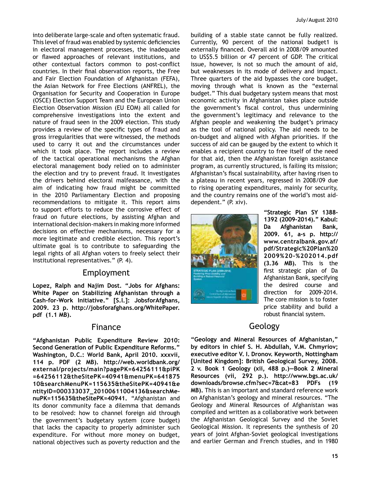into deliberate large-scale and often systematic fraud. This level of fraud was enabled by systemic deficiencies in electoral management processes, the inadequate or flawed approaches of relevant institutions, and other contextual factors common to post-conflict countries. In their final observation reports, the Free and Fair Election Foundation of Afghanistan (FEFA), the Asian Network for Free Elections (ANFREL), the Organisation for Security and Cooperation in Europe (OSCE) Election Support Team and the European Union Election Observation Mission (EU EOM) all called for comprehensive investigations into the extent and nature of fraud seen in the 2009 election. This study provides a review of the specific types of fraud and gross irregularities that were witnessed, the methods used to carry it out and the circumstances under which it took place. The report includes a review of the tactical operational mechanisms the Afghan electoral management body relied on to administer the election and try to prevent fraud. It investigates the drivers behind electoral malfeasance, with the aim of indicating how fraud might be committed in the 2010 Parliamentary Election and proposing recommendations to mitigate it. This report aims to support efforts to reduce the corrosive effect of fraud on future elections, by assisting Afghan and international decision-makers in making more informed decisions on effective mechanisms, necessary for a more legitimate and credible election. This report's ultimate goal is to contribute to safeguarding the legal rights of all Afghan voters to freely select their institutional representatives." (P. 4).

## Employment

**Lopez, Ralph and Najim Dost. "Jobs for Afghans: White Paper on Stabilizing Afghanistan through a**  Cash-for-Work Initiative." [S.l.]: JobsforAfghans, **2009. 23 p. http://jobsforafghans.org/WhitePaper. pdf (1.1 MB).**

## Finance

**"Afghanistan Public Expenditure Review 2010: Second Generation of Public Expenditure Reforms." Washington, D.C.: World Bank, April 2010. xxxvii, 114 p. PDF (2 MB). http://web.worldbank.org/ external/projects/main?pagePK=64256111&piPK =64256112&theSitePK=40941&menuPK=641875 10&searchMenuPK=115635&theSitePK=40941&e ntityID=000333037\_20100611004136&searchMeN nuPK=115635&theSitePK=40941.** "Afghanistan and its donor community face a dilemma that demands to be resolved: how to channel foreign aid through the government's budgetary system (core budget) that lacks the capacity to properly administer such expenditure. For without more money on budget, national objectives such as poverty reduction and the building of a stable state cannot be fully realized. Currently, 90 percent of the national budget1 is externally financed. Overall aid in 2008/09 amounted to US\$5.5 billion or 47 percent of GDP. The critical issue, however, is not so much the amount of aid, but weaknesses in its mode of delivery and impact. Three quarters of the aid bypasses the core budget, moving through what is known as the "external budget." This dual budgetary system means that most economic activity in Afghanistan takes place outside the government's fiscal control, thus undermining the government's legitimacy and relevance to the Afghan people and weakening the budget's primacy as the tool of national policy. The aid needs to be on-budget and aligned with Afghan priorities. If the success of aid can be gauged by the extent to which it enables a recipient country to free itself of the need for that aid, then the Afghanistan foreign assistance program, as currently structured, is failing its mission; Afghanistan's fiscal sustainability, after having risen to a plateau in recent years, regressed in 2008/09 due to rising operating expenditures, mainly for security, and the country remains one of the world's most aiddependent." (P. xiv).



"Strategic Plan SY 1388-1392 (2009-2014)." Kabul: **Da Afghanistan Bank,**  2009. 61, a-s p. http:// **www.centralbank.gov.af/ pdf/Strategic%20Plan%20 2009%20N%202014.pdf (3.36 MB).** This is the first strategic plan of Da Afghanistan Bank, specifying the desired course and  $direction$  for  $2009-2014$ . The core mission is to foster price stability and build a robust financial system.

# Geology

**"Geology and Mineral Resources of Afghanistan," by editors in chief S. H. Abdullah, V.M. Chmyriov; executive editor V. I. Dronov. Keyworth, Nottingham [United Kingdom]: British Geological Survey, 2008. 2 v. Book 1 Geology (xii, 488 p.)—Book 2 Mineral Resources (vii, 292 p.). http://www.bgs.ac.uk/ downloads/browse.cfm?sec=7&cat=83 PDFs (19 MB).** This is an important and standard reference work on Afghanistan's geology and mineral resources. "The Geology and Mineral Resources of Afghanistan was compiled and written as a collaborative work between the Afghanistan Geological Survey and the Soviet Geological Mission. It represents the synthesis of 20 years of joint Afghan-Soviet geological investigations and earlier German and French studies, and in 1980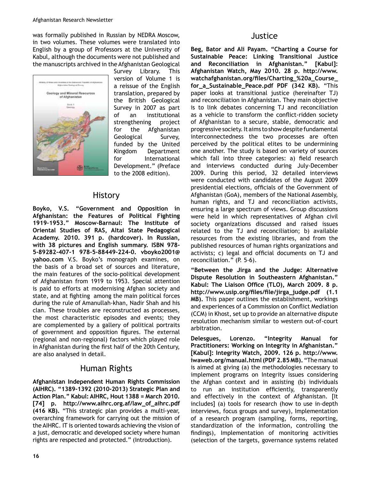was formally published in Russian by NEDRA Moscow, in two volumes. These volumes were translated into English by a group of Professors at the University of Kabul, although the documents were not published and the manuscripts archived in the Afghanistan Geological



Survey Library. This version of Volume 1 is a reissue of the English translation, prepared by the British Geological Survey in 2007 as part of an institutional strengthening project for the Afghanistan Geological Survey, funded by the United Kingdom Department for International Development." (Preface to the 2008 edition).

# **History**

**Boyko, V.S. "Government and Opposition in Afghanistan: the Features of Political Fighting**  1919-1953." Moscow-Barnaul: The Institute of **Oriental Studies of RAS, Altai State Pedagogical Academy. 2010. 391 p. (hardcover). In Russian,**  with 38 pictures and English summary. ISBN 978-**5N89282N407N1 978N5N88449N224N0. vboyko2001@ yahoo.com** V.S. Boyko's monograph examines, on the basis of a broad set of sources and literature, the main features of the socio-political development of Afghanistan from 1919 to 1953. Special attention is paid to efforts at modernising Afghan society and state, and at fighting among the main political forces during the rule of Amanullah-khan, Nadir Shah and his clan. These troubles are reconstructed as processes, the most characteristic episodes and events; they are complemented by a gallery of political portraits of government and opposition figures. The external (regional and non-regional) factors which played role in Afghanistan during the first half of the 20th Century, are also analysed in detail.

# Human Rights

**Afghanistan Independent Human Rights Commission**  (AIHRC). "1389-1392 (2010-2013) Strategic Plan and **Action Plan." Kabul: AIHRC, Hout 1388 = March 2010. [74] p. http://www.aihrc.org.af/law\_of\_aihrc.pdf (416 KB).** "This strategic plan provides a multi-year, overarching framework for carrying out the mission of the AIHRC. IT is oriented towards achieving the vision of a just, democratic and developed society where human rights are respected and protected." (Introduction).

## **Justice**

**Beg, Bator and Ali Payam. "Charting a Course for Sustainable Peace: Linking Transitional Justice and Reconciliation in Afghanistan." [Kabul]: Afghanistan Watch, May 2010. 28 p. http://www.** watchafghanistan.org/files/Charting %20a Course **for\_a\_Sustainable\_Peace.pdf PDF (342 KB).** "This paper looks at transitional justice (hereinafter TJ) and reconciliation in Afghanistan. They main objective is to link debates concerning TJ and reconciliation as a vehicle to transform the conflict-ridden society of Afghanistan to a secure, stable, democratic and progressive society. It aims to show despite fundamental interconnectedness the two processes are often perceived by the political elites to be undermining one another. The study is based on variety of sources which fall into three categories: a) field research and interviews conducted during July-December 2009. During this period, 32 detailed interviews were conducted with candidates of the August 2009 presidential elections, officials of the Government of Afghanistan (GoA), members of the National Assembly, human rights, and TJ and reconciliation activists, ensuring a large spectrum of views. Group discussions were held in which representatives of Afghan civil society organizations discussed and raised issues related to the TJ and reconciliation; b) available resources from the existing libraries, and from the published resources of human rights organizations and activists; c) legal and official documents on TJ and reconciliation." (P. 5-6).

**"Between the Jirga and the Judge: Alternative Dispute Resolution in Southeastern Afghanistan."**  Kabul: The Liaison Office (TLO), March 2009. 8 p. http://www.usip.org/files/file/jirga\_judge.pdf (1.1) **MB).** This paper outlines the establishment, workings and experiences of a Commission on Conflict Mediation (CCM) in Khost, set up to provide an alternative dispute resolution mechanism similar to western out-of-court arbitration.

**Delesgues, Lorenzo. "Integrity Manual for Practitioners: Working on Integrity in Afghanistan." [Kabul]: Integrity Watch, 2009. 126 p. http://www. iwaweb.org/manual.html (PDF 2.85 MB).** "The manual is aimed at giving (a) the methodologies necessary to implement programs on Integrity issues considering the Afghan context and in assisting (b) individuals to run an institution efficiently, transparently and effectively in the context of Afghanistan. [It includes] (a) tools for research (how to use in-depth interviews, focus groups and survey), Implementation of a research program (sampling, forms, reporting, standardization of the information, controlling the findings), Implementation of monitoring activities (selection of the targets, governance systems related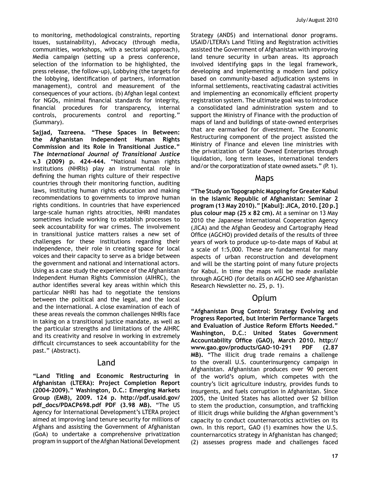to monitoring, methodological constraints, reporting issues, sustainability), Advocacy (through media, communities, workshops, with a sectorial approach), Media campaign (setting up a press conference, selection of the information to be highlighted, the press release, the follow-up), Lobbying (the targets for the lobbying, identification of partners, information management), control and measurement of the consequences of your actions. (b) Afghan legal context for NGOs, minimal financial standards for integrity, financial procedures for transparency, internal controls, procurements control and reporting." (Summary).

**Sajjad, Tazreena. "These Spaces in Between: the Afghanistan Independent Human Rights Commission and its Role in Transitional Justice."**  *The International Journal of Transitional Justice*  **v.3 (2009) p. 424-444.** "National human rights institutions (NHRIs) play an instrumental role in defining the human rights culture of their respective countries through their monitoring function, auditing laws, instituting human rights education and making recommendations to governments to improve human rights conditions. In countries that have experienced large-scale human rights atrocities, NHRI mandates sometimes include working to establish processes to seek accountability for war crimes. The involvement in transitional justice matters raises a new set of challenges for these institutions regarding their independence, their role in creating space for local voices and their capacity to serve as a bridge between the government and national and international actors. Using as a case study the experience of the Afghanistan Independent Human Rights Commission (AIHRC), the author identifies several key areas within which this particular NHRI has had to negotiate the tensions between the political and the legal, and the local and the international. A close examination of each of these areas reveals the common challenges NHRIs face in taking on a transitional justice mandate, as well as the particular strengths and limitations of the AIHRC and its creativity and resolve in working in extremely difficult circumstances to seek accountability for the past." (Abstract).

#### Land

**"Land Titling and Economic Restructuring in Afghanistan (LTERA): Project Completion Report (2004N2009)." Washington, D.C.: Emerging Markets Group (EMB), 2009. 124 p. http://pdf.usaid.gov/ pdf\_docs/PDACP698.pdf PDF (3.98 MB).** "The US Agency for International Development's LTERA project aimed at improving land tenure security for millions of Afghans and assisting the Government of Afghanistan (GoA) to undertake a comprehensive privatization program in support of the Afghan National Development Strategy (ANDS) and international donor programs. USAID/LTERA's Land Titling and Registration activities assisted the Government of Afghanistan with improving land tenure security in urban areas. Its approach involved identifying gaps in the legal framework, developing and implementing a modern land policy based on community-based adjudication systems in informal settlements, reactivating cadastral activities and implementing an economically efficient property registration system. The ultimate goal was to introduce a consolidated land administration system and to support the Ministry of Finance with the production of maps of land and buildings of state-owned enterprises that are earmarked for divestment. The Economic Restructuring component of the project assisted the Ministry of Finance and eleven line ministries with the privatization of State Owned Enterprises through liquidation, long term leases, international tenders and/or the corporatization of state owned assets." (P. 1).

#### Maps

**"The Study on Topographic Mapping for Greater Kabul in the Islamic Republic of Afghanistan: Seminar 2 program (13 May 2010)." [Kabul]: JICA, 2010. [20 p.] plus colour map (25 x 82 cm).** At a seminar on 13 May 2010 the Japanese International Cooperation Agency (JICA) and the Afghan Geodesy and Cartography Head Office (AGCHO) provided details of the results of three years of work to produce up-to-date maps of Kabul at a scale of 1:5,000. These are fundamental for many aspects of urban reconstruction and development and will be the starting point of many future projects for Kabul. In time the maps will be made available through AGCHO (for details on AGCHO see Afghanistan Research Newsletter no. 25, p. 1).

# Opium

**"Afghanistan Drug Control: Strategy Evolving and Progress Reported, but Interim Performance Targets and Evaluation of Justice Reform Efforts Needed." Washington, D.C.: United States Government**  Accountability Office (GAO), March 2010. http:// www.gao.gov/products/GAO-10-291 PDF (2.87 **MB).** "The illicit drug trade remains a challenge to the overall U.S. counterinsurgency campaign in Afghanistan. Afghanistan produces over 90 percent of the world's opium, which competes with the country's licit agriculture industry, provides funds to insurgents, and fuels corruption in Afghanistan. Since 2005, the United States has allotted over \$2 billion to stem the production, consumption, and trafficking of illicit drugs while building the Afghan government's capacity to conduct counternarcotics activities on its own. In this report, GAO (1) examines how the U.S. counternarcotics strategy in Afghanistan has changed; (2) assesses progress made and challenges faced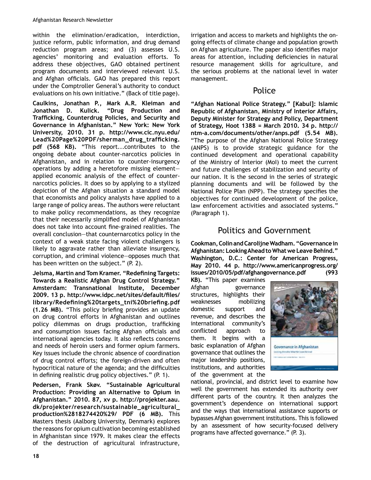within the elimination/eradication, interdiction, justice reform, public information, and drug demand reduction program areas; and (3) assesses U.S. agencies' monitoring and evaluation efforts. To address these objectives, GAO obtained pertinent program documents and interviewed relevant U.S. and Afghan officials. GAO has prepared this report under the Comptroller General's authority to conduct evaluations on his own initiative." (Back of title page).

**Caulkins, Jonathan P., Mark A.R. Kleiman and Jonathan D. Kulick. "Drug Production and**  Trafficking, Counterdrug Policies, and Security and **Governance in Afghanistan." New York: New York University, 2010. 31 p. http://www.cic.nyu.edu/** Lead%20Page%20PDF/sherman\_drug\_trafficking. **pdf (568 KB).** "This report...contributes to the ongoing debate about counter-narcotics policies in Afghanistan, and in relation to counter-insurgency operations by adding a heretofore missing element applied economic analysis of the effect of counternarcotics policies. It does so by applying to a stylized depiction of the Afghan situation a standard model that economists and policy analysts have applied to a large range of policy areas. The authors were reluctant to make policy recommendations, as they recognize that their necessarily simplified model of Afghanistan does not take into account fine-grained realities. The overall conclusion—that counternarcotics policy in the context of a weak state facing violent challengers is likely to aggravate rather than alleviate insurgency, corruption, and criminal violence—opposes much that has been written on the subject." (P. 2).

**Jelsma, Martin and Tom Kramer. "Redefining Targets: Towards a Realistic Afghan Drug Control Strategy." Amsterdam: Transnational Institute, December**  2009. 13 p. http://www.idpc.net/sites/default/files/ library/Redefining%20targets\_tni%20briefing.pdf **(1.26 MB).** "This policy briefing provides an update on drug control efforts in Afghanistan and outlines policy dilemmas on drugs production, trafficking and consumption issues facing Afghan officials and international agencies today. It also reflects concerns and needs of heroin users and former opium farmers. Key issues include the chronic absence of coordination of drug control efforts; the foreign-driven and often hypocritical nature of the agenda; and the difficulties in defining realistic drug policy objectives."  $(P, 1)$ .

**Pedersen, Frank Skøv. "Sustainable Agricultural Production: Providing an Alternative to Opium in Afghanistan." 2010. 87, xv p. http://projekter.aau. dk/projekter/research/sustainable\_agricultural\_ production%2818274420%29/ PDF (6 MB).** This Masters thesis (Aalborg University, Denmark) explores the reasons for opium cultivation becoming established in Afghanistan since 1979. It makes clear the effects of the destruction of agricultural infrastructure,

irrigation and access to markets and highlights the ongoing effects of climate change and population growth on Afghan agriculture. The paper also identifies major areas for attention, including deficiencies in natural resource management skills for agriculture, and the serious problems at the national level in water management.

# Police

**"Afghan National Police Strategy." [Kabul]: Islamic Republic of Afghanistan, Ministry of Interior Affairs, Deputy Minister for Strategy and Policy, Department of Strategy, Hoot 1388 = March 2010. 34 p. http://** ntm-a.com/documents/other/anps.pdf (5.54 MB). "The purpose of the Afghan National Police Strategy (ANPS) is to provide strategic guidance for the continued development and operational capability of the Ministry of Interior (MoI) to meet the current and future challenges of stabilization and security of our nation. It is the second in the series of strategic planning documents and will be followed by the National Police Plan (NPP). The strategy specifies the objectives for continued development of the police, law enforcement activities and associated systems." (Paragraph 1).

# Politics and Government

**Cookman, Colin and Carolijne Wadham. "Governance in Afghanistan: Looking Ahead to What we Leave Behind." Washington, D.C.: Center for American Progress, May 2010. 44 p. http://www.americanprogress.org/ issues/2010/05/pdf/afghangovernance.pdf (993** 

**KB).** "This paper examines Afghan governance structures, highlights their weaknesses mobilizing domestic support and revenue, and describes the international community's conflicted approach to them. It begins with a basic explanation of Afghan governance that outlines the major leadership positions, institutions, and authorities of the government at the



national, provincial, and district level to examine how well the government has extended its authority over different parts of the country. It then analyzes the government's dependence on international support and the ways that international assistance supports or bypasses Afghan government institutions. This is followed by an assessment of how security-focused delivery programs have affected governance." (P. 3).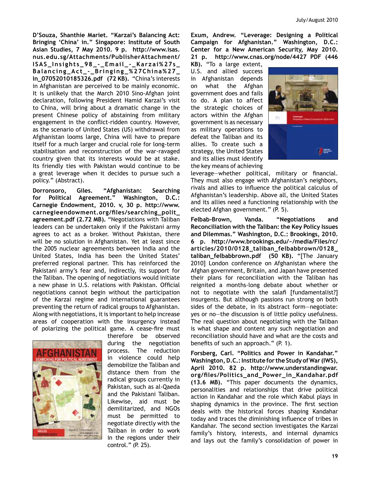**D'Souza, Shanthie Mariet. "Karzai's Balancing Act: Bringing 'China' in." Singapore: Institute of South Asian Studies, 7 May 2010. 9 p. http://www.isas. nus.edu.sg/Attachments/PublisherAttachment/ ISAS\_Insights\_98\_N\_Email\_N\_Karzai%27s\_ Balancing\_Act\_N\_Bringing\_%27China%27\_ In\_07052010185326.pdf (72 KB).** "China's interests in Afghanistan are perceived to be mainly economic. It is unlikely that the March 2010 Sino-Afghan joint declaration, following President Hamid Karzai's visit to China, will bring about a dramatic change in the present Chinese policy of abstaining from military engagement in the conflict-ridden country. However, as the scenario of United States (US) withdrawal from Afghanistan looms large, China will have to prepare itself for a much larger and crucial role for long-term stabilisation and reconstruction of the war-ravaged country given that its interests would be at stake. Its friendly ties with Pakistan would continue to be a great leverage when it decides to pursue such a policy." (Abstract).

**Dorronsoro, Giles. "Afghanistan: Searching for Political Agreement." Washington, D.C.: Carnegie Endowment, 2010. v, 30 p. http://www.** carnegieendowment.org/files/searching\_polit\_ **agreement.pdf (2.72 MB).** "Negotiations with Taliban leaders can be undertaken only if the Pakistani army agrees to act as a broker. Without Pakistan, there will be no solution in Afghanistan. Yet at least since the 2005 nuclear agreements between India and the United States, India has been the United States' preferred regional partner. This has reinforced the Pakistani army's fear and, indirectly, its support for the Taliban. The opening of negotiations would initiate a new phase in U.S. relations with Pakistan. Official negotiations cannot begin without the participation of the Karzai regime and international guarantees preventing the return of radical groups to Afghanistan. Along with negotiations, it is important to help increase areas of cooperation with the insurgency instead of polarizing the political game. A cease-fire must



therefore be observed during the negotiation process. The reduction in violence could help demobilize the Taliban and distance them from the radical groups currently in Pakistan, such as al-Qaeda and the Pakistani Taliban. Likewise, aid must be demilitarized, and NGOs must be permitted to negotiate directly with the Taliban in order to work in the regions under their control." (P. 25).

**Exum, Andrew. "Leverage: Designing a Political Campaign for Afghanistan." Washington, D.C.: Center for a New American Security, May 2010. 21 p. http://www.cnas.org/node/4427 PDF (446** 

**KB).** "To a large extent, U.S. and allied success in Afghanistan depends on what the Afghan government does and fails to do. A plan to affect the strategic choices of actors within the Afghan government is as necessary as military operations to defeat the Taliban and its allies. To create such a strategy, the United States and its allies must identify the key means of achieving



leverage-whether political, military or financial. They must also engage with Afghanistan's neighbors, rivals and allies to influence the political calculus of Afghanistan's leadership. Above all, the United States and its allies need a functioning relationship with the elected Afghan government." (P. 5).

Felbab-Brown, Vanda. "Negotiations and **Reconciliation with the Taliban: the Key Policy Issues and Dilemmas." Washington, D.C.: Brookings, 2010. 6 p. http://www.brookings.edu/~/media/Files/rc/ articles/2010/0128\_taliban\_felbabbrown/0128\_ taliban\_felbabbrown.pdf (50 KB).** "[The January 2010] London conference on Afghanistan where the Afghan government, Britain, and Japan have presented their plans for reconciliation with the Taliban has reignited a months-long debate about whether or not to negotiate with the salafi [fundamentalist?] insurgents. But although passions run strong on both sides of the debate, in its abstract form-negotiate: yes or no—the discussion is of little policy usefulness. The real question about negotiating with the Taliban is what shape and content any such negotiation and reconciliation should have and what are the costs and benefits of such an approach." (P. 1).

**Forsberg, Carl. "Politics and Power in Kandahar." Washington, D.C.: Institute for the Study of War (IWS), April 2010. 82 p. http://www.understandingwar.** org/files/Politics\_and\_Power\_in\_Kandahar.pdf **(13.6 MB).** "This paper documents the dynamics, personalities and relationships that drive political action in Kandahar and the role which Kabul plays in shaping dynamics in the province. The first section deals with the historical forces shaping Kandahar today and traces the diminishing influence of tribes in Kandahar. The second section investigates the Karzai family's history, interests, and internal dynamics and lays out the family's consolidation of power in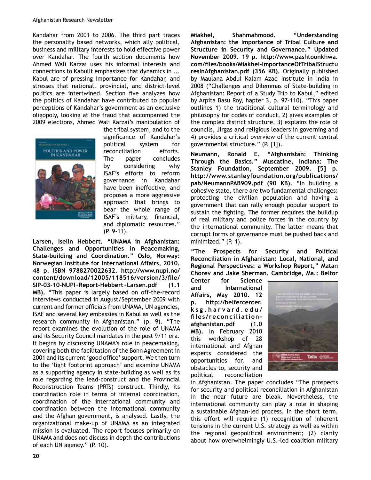Kandahar from 2001 to 2006. The third part traces the personality based networks, which ally political, business and military interests to hold effective power over Kandahar. The fourth section documents how Ahmed Wali Karzai uses his informal interests and connections to KabulIt emphasizes that dynamics in ... Kabul are of pressing importance for Kandahar, and stresses that national, provincial, and district-level politics are intertwined. Section five analyzes how the politics of Kandahar have contributed to popular perceptions of Kandahar's government as an exclusive oligopoly, looking at the fraud that accompanied the 2009 elections, Ahmed Wali Karzai's manipulation of



the tribal system, and to the significance of Kandahar's political system for reconciliation efforts. The paper concludes by considering why ISAF's efforts to reform governance in Kandahar have been ineffective, and proposes a more aggressive approach that brings to bear the whole range of ISAF's military, financial, and diplomatic resources."  $(P. 9-11).$ 

**Larsen, Iselin Hebbert. "UNAMA in Afghanistan: Challenges and Opportunities in Peacemaking,**  State-building and Coordination." Oslo, Norway: **Norwegian Institute for International Affairs, 2010. 48 p. ISBN 9788270022632. http://www.nupi.no/**  $content$ /download/12005/118516/version/3/file/ SIP-03-10-NUPI+Report-Hebbert+Larsen.pdf (1.1 **MB).** "This paper is largely based on off-the-record interviews conducted in August/September 2009 with current and former officials from UNAMA, UN agencies, ISAF and several key embassies in Kabul as well as the research community in Afghanistan." (p. 9). "The report examines the evolution of the role of UNAMA and its Security Council mandates in the post 9/11 era. It begins by discussing UNAMA's role in peacemaking, covering both the facilitation of the Bonn Agreement in 2001 and its current 'good office' support. We then turn to the 'light footprint approach' and examine UNAMA as a supporting agency in state-building as well as its role regarding the lead-construct and the Provincial Reconstruction Teams (PRTs) construct. Thirdly, its coordination role in terms of internal coordination, coordination of the international community and coordination between the international community and the Afghan government, is analysed. Lastly, the organizational make-up of UNAMA as an integrated mission is evaluated. The report focuses primarily on UNAMA and does not discuss in depth the contributions of each UN agency." (P. 10).

**Miakhel, Shahmahmood. "Understanding Afghanistan: the Importance of Tribal Culture and Structure in Security and Governance." Updated November 2009. 19 p. http://www.pashtoonkhwa.** com/files/books/Miakhel-ImportanceOfTribalStructu resInAfghanistan.pdf (356 KB). Originally published by Maulana Abdul Kalam Azad Institute in India in 2008 ("Challenges and Dilemmas of State-building in Afghanistan: Report of a Study Trip to Kabul," edited by Arpita Basu Roy, hapter 3, p. 97-110). "This paper outlines 1) the traditional cultural terminology and philosophy for codes of conduct, 2) gives examples of the complex district structure, 3) explains the role of councils, Jirgas and religious leaders in governing and 4) provides a critical overview of the current central governmental structure." (P. [1]).

**Neumann, Ronald E. "Afghanistan: Thinking Through the Basics." Muscatine, Indiana: The Stanley Foundation, September 2009. [5] p. http://www.stanleyfoundation.org/publications/ pab/NeumannPAB909.pdf (90 KB).** "In building a cohesive state, there are two fundamental challenges: protecting the civilian population and having a government that can rally enough popular support to sustain the fighting. The former requires the buildup of real military and police forces in the country by the international community. The latter means that corrupt forms of governance must be pushed back and minimized." (P. 1).

**"The Prospects for Security and Political Reconciliation in Afghanistan: Local, National, and Regional Perspectives: a Workshop Report," Matan Chorev and Jake Sherman. Cambridge, Ma.: Belfor** 

**Center for Science and International Affairs, May 2010. 12 p. http://belfercenter. ksg.harvard.edu/** files/reconciliation**afghanistan.pdf (1.0 MB).** In February 2010 this workshop of 28 international and Afghan experts considered the opportunities for, and obstacles to, security and political reconciliation



in Afghanistan. The paper concludes "The prospects for security and political reconciliation in Afghanistan in the near future are bleak. Nevertheless, the international community can play a role in shaping a sustainable Afghan-led process. In the short term, this effort will require (1) recognition of inherent tensions in the current U.S. strategy as well as within the regional geopolitical environment; (2) clarity about how overwhelmingly U.S.-led coalition military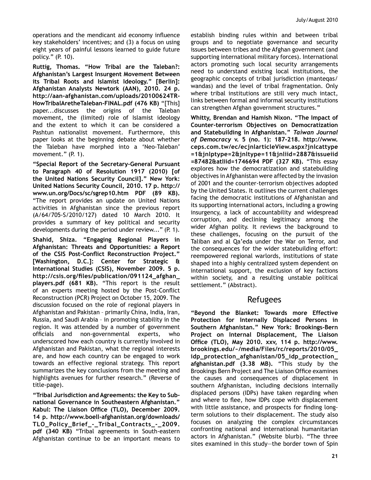operations and the mendicant aid economy influence key stakeholders' incentives; and (3) a focus on using eight years of painful lessons learned to guide future policy." (P. 10).

**Ruttig, Thomas. "How Tribal are the Taleban?: Afghanistan's Largest Insurgent Movement Between its Tribal Roots and Islamist Ideology." [Berlin]: Afghanistan Analysts Newtork (AAN), 2010. 24 p.**  http://aan-afghanistan.com/uploads/20100624TR-HowTribalAretheTaleban-FINAL.pdf (476 KB) "[This] paper...discusses the origins of the Taleban movement, the (limited) role of Islamist ideology and the extent to which it can be considered a Pashtun nationalist movement. Furthermore, this paper looks at the beginning debate about whether the Taleban have morphed into a 'Neo-Taleban' movement." (P. 1).

"Special Report of the Secretary-General Pursuant **to Paragraph 40 of Resolution 1917 (2010) [of the United Nations Security Council]." New York: United Nations Security Council, 2010. 17 p. http:// www.un.org/Docs/sc/sgrep10.htm PDF (89 KB).**  "The report provides an update on United Nations activities in Afghanistan since the previous report (A/64/705-S/2010/127) dated 10 March 2010. It provides a summary of key political and security developments during the period under review..." (P. 1).

**Shahid, Shiza. "Engaging Regional Players in Afghanistan: Threats and Opportunities: a Report**  of the CSIS Post-Conflict Reconstruction Project." **[Washington, D.C.]: Center for Strategic & International Studies (CSIS), November 2009. 5 p.**  http://csis.org/files/publication/091124\_afghan\_ **players.pdf (681 KB).** "This report is the result of an experts meeting hosted by the Post-Conflict Reconstruction (PCR) Project on October 15, 2009. The discussion focused on the role of regional players in Afghanistan and Pakistan - primarily China, India, Iran, Russia, and Saudi Arabia – in promoting stability in the region. It was attended by a number of government officials and non-governmental experts, who underscored how each country is currently involved in Afghanistan and Pakistan, what the regional interests are, and how each country can be engaged to work towards an effective regional strategy. This report summarizes the key conclusions from the meeting and highlights avenues for further research." (Reverse of title-page).

"Tribal Jurisdiction and Agreements: the Key to Sub**national Governance in Southeastern Afghanistan."**  Kabul: The Liaison Office (TLO), December 2009. 14 p. http://www.boell-afghanistan.org/downloads/ **TLO\_Policy\_Brief\_N\_Tribal\_Contracts\_N\_2009.** pdf (340 KB) "Tribal agreements in South-eastern Afghanistan continue to be an important means to

establish binding rules within and between tribal groups and to negotiate governance and security issues between tribes and the Afghan government (and supporting international military forces). International actors promoting such local security arrangements need to understand existing local institutions, the geographic concepts of tribal jurisdiction (manteqas/ wandas) and the level of tribal fragmentation. Only where tribal institutions are still very much intact, links between formal and informal security institutions can strengthen Afghan government structures."

**Whitty, Brendan and Hamish Nixon. "The Impact of Counter-terrorism Objectives on Democratization and Statebuilding in Afghanistan."** *Taiwan Journal*  of Democracy v. 5 (no. 1): 187-218. http://www. **ceps.com.tw/ec/ecjnlarticleView.aspx?jnlcattype =1&jnlptype=2&jnltype=11&jnliid=2887&issueiid =87482&atliid=1746694 PDF (327 KB).** "This essay explores how the democratization and statebuilding objectives in Afghanistan were affected by the invasion of 2001 and the counter-terrorism objectives adopted by the United States. It outlines the current challenges facing the democratic institutions of Afghanistan and its supporting international actors, including a growing insurgency, a lack of accountability and widespread corruption, and declining legitimacy among the wider Afghan polity. It reviews the background to these challenges, focusing on the pursuit of the Taliban and al Qa'eda under the War on Terror, and the consequences for the wider statebuilding effort: reempowered regional warlords, institutions of state shaped into a highly centralized system dependent on international support, the exclusion of key factions within society, and a resulting unstable political settlement." (Abstract).

## Refugees

**"Beyond the Blanket: Towards more Effective Protection for Internally Displaced Persons in**  Southern Afghanistan." New York: Brookings-Bern **Project on Internal Displacement, The Liaison 210. Office (TLO), May 2010. xxv, 114 p. http://www. brookings.edu/~/media/Files/rc/reports/2010/05\_ idp\_protection\_afghanistan/05\_idp\_protection\_ afghanistan.pdf (3.38 MB).** "This study by the Brookings Bern Project and The Liaison Office examines the causes and consequences of displacement in southern Afghanistan, including decisions internally displaced persons (IDPs) have taken regarding when and where to flee, how IDPs cope with displacement with little assistance, and prospects for finding longterm solutions to their displacement. The study also focuses on analyzing the complex circumstances confronting national and international humanitarian actors in Afghanistan." (Website blurb). "The three sites examined in this study—the border town of Spin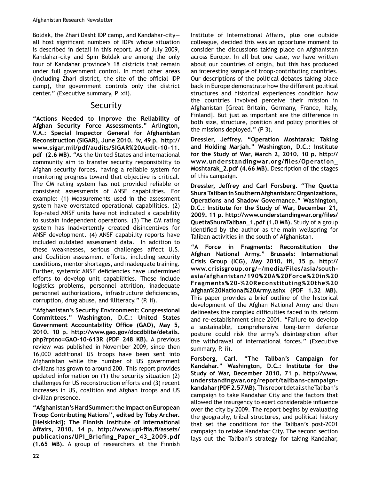Boldak, the Zhari Dasht IDP camp, and Kandahar-cityall host significant numbers of IDPs whose situation is described in detail in this report. As of July 2009, Kandahar-city and Spin Boldak are among the only four of Kandahar province's 18 districts that remain under full government control. In most other areas (including Zhari district, the site of the official IDP camp), the government controls only the district center." (Executive summary, P. xii).

# **Security**

**"Actions Needed to Improve the Reliability of Afghan Security Force Assessments." Arlington, V.A.: Special Inspector General for Afghanistan Reconstruction (SIGAR), June 2010. iv, 49 p. http://** www.sigar.mil/pdf/audits/SIGAR%20Audit-10-11. **pdf (2.6 MB).** "As the United States and international community aim to transfer security responsibility to Afghan security forces, having a reliable system for monitoring progress toward that objective is critical. The CM rating system has not provided reliable or consistent assessments of ANSF capabilities. For example: (1) Measurements used in the assessment system have overstated operational capabilities. (2) Top-rated ANSF units have not indicated a capability to sustain independent operations. (3) The CM rating system has inadvertently created disincentives for ANSF development. (4) ANSF capability reports have included outdated assessment data. In addition to these weaknesses, serious challenges affect U.S. and Coalition assessment efforts, including security conditions, mentor shortages, and inadequate training. Further, systemic ANSF deficiencies have undermined efforts to develop unit capabilities. These include logistics problems, personnel attrition, inadequate personnel authorizations, infrastructure deficiencies, corruption, drug abuse, and illiteracy." (P. ii).

**"Afghanistan's Security Environment: Congressional Committees." Washington, D.C.: United States**  Government Accountability Office (GAO), May 5, **2010. 10 p. http://www.gao.gov/docdblite/details.** php?rptno=GAO-10-613R (PDF 248 KB). A previous review was published in November 2009, since then 16,000 additional US troops have been sent into Afghanistan while the number of US government civilians has grown to around 200. This report provides updated information on (1) the security situation (2) challenges for US reconstruction efforts and (3) recent increases in US, coalition and Afghan troops and US civilian presence.

**"Afghanistan's Hard Summer: the Impact on European Troop Contributing Nations", edited by Toby Archer. [Helskinki]: The Finnish Institute of International**  Affairs, 2010. 14 p. http://www.upi-fiia.fi/assets/ publications/UPI\_Briefing\_Paper\_43\_2009.pdf  $(1.65$  MB). A group of researchers at the Finnish

Institute of International Affairs, plus one outside colleague, decided this was an opportune moment to consider the discussions taking place on Afghanistan across Europe. In all but one case, we have written about our countries of origin, but this has produced an interesting sample of troop-contributing countries. Our descriptions of the political debates taking place back in Europe demonstrate how the different political structures and historical experiences condition how the countries involved perceive their mission in Afghanistan [Great Britain, Germany, France, Italy, Finland]. But just as important are the difference in both size, structure, position and policy priorities of the missions deployed." (P 3).

**Dressler, Jeffrey. "Operation Moshtarak: Taking and Holding Marjah." Washington, D.C.: Institute for the Study of War, March 2, 2010. 10 p. http://** www.understandingwar.org/files/Operation\_ **Moshtarak\_2.pdf (4.66 MB).** Description of the stages of this campaign.

**Dressler, Jeffrey and Carl Forsberg. "The Quetta Shura Taliban in Southern Afghanistan: Organizations, Operations and Shadow Governance." Washington, D.C.: Institute for the Study of War, December 21,**  2009. 11 p. http://www.understandingwar.org/files/ **QuettaShuraTaliban\_1.pdf (1.0 MB).** Study of a group identified by the author as the main wellspring for Taliban activities in the south of Afghanistan.

**"A Force in Fragments: Reconstitution the Afghan National Army." Brussels: International Crisis Group (ICG), May 2010. iii, 35 p. http://** www.crisisgroup.org/~/media/Files/asia/south**asia/afghanistan/190%20A%20Force%20in%20 Fragments%20N%20Reconstituting%20the%20 Afghan%20National%20Army.ashx (PDF 1.32 MB).** This paper provides a brief outline of the historical development of the Afghan National Army and then delineates the complex difficulties faced in its reform and re-establishment since 2001. "Failure to develop a sustainable, comprehensive long-term defence posture could risk the army's disintegration after the withdrawal of international forces." (Executive summary, P. ii).

**Forsberg, Carl. "The Taliban's Campaign for Kandahar." Washington, D.C.: Institute for the Study of War, December 2010. 71 p. http://www.** understandingwar.org/report/talibans-campaign**kandahar (PDF 2.57 MB).** This report details the Taliban's campaign to take Kandahar City and the factors that allowed the insurgency to exert considerable influence over the city by 2009. The report begins by evaluating the geography, tribal structures, and political history that set the conditions for the Taliban's post-2001 campaign to retake Kandahar City. The second section lays out the Taliban's strategy for taking Kandahar,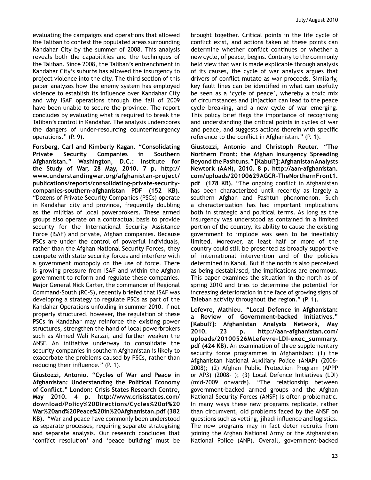evaluating the campaigns and operations that allowed the Taliban to contest the populated areas surrounding Kandahar City by the summer of 2008. This analysis reveals both the capabilities and the techniques of the Taliban. Since 2008, the Taliban's entrenchment in Kandahar City's suburbs has allowed the insurgency to project violence into the city. The third section of this paper analyzes how the enemy system has employed violence to establish its influence over Kandahar City and why ISAF operations through the fall of 2009 have been unable to secure the province. The report concludes by evaluating what is required to break the Taliban's control in Kandahar. The analysis underscores the dangers of under-resourcing counterinsurgency operations." (P. 9).

**Forsberg, Carl and Kimberly Kagan. "Consolidating Private Security Companies in Southern Afghanistan." Washington, D.C.: Institute for the Study of War, 28 May, 2010. 7 p. http://** www.understandingwar.org/afghanistan-project/ publications/reports/consolidating-private-securitycompanies-southern-afghanistan PDF (152 KB). "Dozens of Private Security Companies (PSCs) operate in Kandahar city and province, frequently doubling as the militias of local powerbrokers. These armed groups also operate on a contractual basis to provide security for the International Security Assistance Force (ISAF) and private, Afghan companies. Because PSCs are under the control of powerful individuals, rather than the Afghan National Security Forces, they compete with state security forces and interfere with a government monopoly on the use of force. There is growing pressure from ISAF and within the Afghan government to reform and regulate these companies. Major General Nick Carter, the commander of Regional Command-South (RC-S), recently briefed that ISAF was developing a strategy to regulate PSCs as part of the Kandahar Operations unfolding in summer 2010. If not properly structured, however, the regulation of these PSCs in Kandahar may reinforce the existing power structures, strengthen the hand of local powerbrokers such as Ahmed Wali Karzai, and further weaken the ANSF. An initiative underway to consolidate the security companies in southern Afghanistan is likely to exacerbate the problems caused by PSCs, rather than reducing their influence."  $(P. 1)$ .

**Giustozzi, Antonio. "Cycles of War and Peace in Afghanistan: Understanding the Political Economy**  of Conflict." London: Crisis States Research Centre, **May 2010. 4 p. http://www.crisisstates.com/ download/Policy%20Directions/Cycles%20of%20 War%20and%20Peace%20in%20Afghanistan.pdf (382 KB).** "War and peace have commonly been understood as separate processes, requiring separate strategising and separate analysis. Our research concludes that 'conflict resolution' and 'peace building' must be

brought together. Critical points in the life cycle of conflict exist, and actions taken at these points can determine whether conflict continues or whether a new cycle, of peace, begins. Contrary to the commonly held view that war is made explicable through analysis of its causes, the cycle of war analysis argues that drivers of conflict mutate as war proceeds. Similarly, key fault lines can be identified in what can usefully be seen as a 'cycle of peace', whereby a toxic mix of circumstances and (in)action can lead to the peace cycle breaking, and a new cycle of war emerging. This policy brief flags the importance of recognising and understanding the critical points in cycles of war and peace, and suggests actions therein with specific reference to the conflict in Afghanistan."  $(P, 1)$ .

**Giustozzi, Antonio and Christoph Reuter. "The Northern Front: the Afghan Insurgency Spreading Beyond the Pashtuns." [Kabul?]: Afghanistan Analysts**  Newtork (AAN), 2010. 8 p. http://aan-afghanistan. com/uploads/20100629AGCR-TheNorthernFront1. pdf (178 KB). "The ongoing conflict in Afghanistan has been characterized until recently as largely a southern Afghan and Pashtun phenomenon. Such a characterization has had important implications both in strategic and political terms. As long as the insurgency was understood as contained in a limited portion of the country, its ability to cause the existing government to implode was seen to be inevitably limited. Moreover, at least half or more of the country could still be presented as broadly supportive of international intervention and of the policies determined in Kabul. But if the north is also perceived as being destabilised, the implications are enormous. This paper examines the situation in the north as of spring 2010 and tries to determine the potential for increasing deterioration in the face of growing signs of Taleban activity throughout the region." (P. 1).

**Lefevre, Mathieu. "Local Defence in Afghanistan:**  a Review of Government-backed Initiatives." **[Kabul?]: Afghanistan Analysts Network, May**  2010. 23 p. http://aan-afghanistan.com/ uploads/20100526MLefevre-LDI-exec\_summary. **pdf (424 KB).** An examination of three supplementary security force programmes in Afghanistan: (1) the Afghanistan National Auxiliary Police (ANAP) (2006-2008); (2) Afghan Public Protection Program (APPP or AP3)  $(2008-)$ ;  $(3)$  Local Defence Initiatives  $(LDI)$ (mid-2009 onwards). "The relationship between government-backed armed groups and the Afghan National Security Forces (ANSF) is often problematic. In many ways these new programs replicate, rather than circumvent, old problems faced by the ANSF on questions such as vetting, jihadi influence and logistics. The new programs may in fact deter recruits from joining the Afghan National Army or the Afghanistan National Police (ANP). Overall, government-backed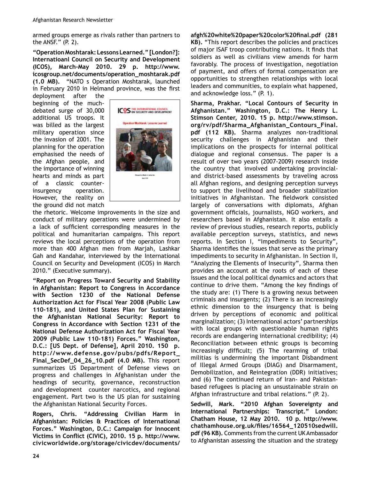armed groups emerge as rivals rather than partners to the ANSF."  $(P, 2)$ .

**"Operation Moshtarak: Lessons Learned." [London?]: Internatioanl Council on Security and Development (ICOS), March-May 2010. 29 p. http://www. icosgroup.net/documents/operation\_moshtarak.pdf (1.0 MB).** "NATO s Operation Moshtarak, launched in February 2010 in Helmand province, was the first

deployment after the beginning of the muchdebated surge of 30,000 additional US troops. It was billed as the largest military operation since the invasion of 2001. The planning for the operation emphasised the needs of the Afghan people, and the importance of winning hearts and minds as part of a classic counterinsurgency operation. However, the reality on the ground did not match



the rhetoric. Welcome improvements in the size and conduct of military operations were undermined by a lack of sufficient corresponding measures in the political and humanitarian campaigns. This report reviews the local perceptions of the operation from more than 400 Afghan men from Marjah, Lashkar Gah and Kandahar, interviewed by the International Council on Security and Development (ICOS) in March 2010." (Executive summary).

**"Report on Progress Toward Security and Stability in Afghanistan: Report to Congress in Accordance with Section 1230 of the National Defense Authorization Act for Fiscal Year 2008 (Public Law**  110-181), and United States Plan for Sustaining **the Afghanistan National Security: Report to Congress in Accordance with Section 1231 of the National Defense Authorization Act for Fiscal Year 2009 (Public Law 110N181) Forces." Washington, D.C.: [US Dept. of Defense], April 2010. 150 p. http://www.defense.gov/pubs/pdfs/Report\_ Final\_SecDef\_04\_26\_10.pdf (4.0 MB).** This report summarizes US Department of Defense views on progress and challenges in Afghanistan under the headings of security, governance, reconstruction and development counter narcotics, and regional engagement. Part two is the US plan for sustaining the Afghanistan National Security Forces.

**Rogers, Chris. "Addressing Civilian Harm in Afghanistan: Policies & Practices of International Forces." Washington, D.C.: Campaign for Innocent**  Victims in Conflict (CIVIC), 2010. 15 p. http://www. **civicworldwide.org/storage/civicdev/documents/**

afgh%20white%20paper%20color%20final.pdf (281) **KB).** "This report describes the policies and practices of major ISAF troop contributing nations. It finds that soldiers as well as civilians view amends for harm favorably. The process of investigation, negotiation of payment, and offers of formal compensation are opportunities to strengthen relationships with local leaders and communities, to explain what happened, and acknowledge loss." (P. 1).

**Sharma, Prakhar. "Local Contours of Security in Afghanistan." Washington, D.C.: The Henry L. Stimson Center, 2010. 15 p. http://www.stimson. org/rv/pdf/Sharma\_Afghanistan\_Contours\_Final.** pdf (112 KB). Sharma analyzes non-traditional security challenges in Afghanistan and their implications on the prospects for internal political dialogue and regional consensus. The paper is a result of over two years (2007-2009) research inside the country that involved undertaking provincialand district-based assessments by traveling across all Afghan regions, and designing perception surveys to support the livelihood and broader stabilization initiatives in Afghanistan. The fieldwork consisted largely of conversations with diplomats, Afghan government officials, journalists, NGO workers, and researchers based in Afghanistan. It also entails a review of previous studies, research reports, publicly available perception surveys, statistics, and news reports. In Section I, "Impediments to Security", Sharma identifies the issues that serve as the primary impediments to security in Afghanistan. In Section II, "Analyzing the Elements of Insecurity", Sharma then provides an account at the roots of each of these issues and the local political dynamics and actors that continue to drive them. "Among the key findings of the study are: (1) There is a growing nexus between criminals and insurgents; (2) There is an increasingly ethnic dimension to the insurgency that is being driven by perceptions of economic and political marginalization; (3) International actors' partnerships with local groups with questionable human rights records are endangering international credibility; (4) Reconciliation between ethnic groups is becoming increasingly difficult; (5) The rearming of tribal militias is undermining the important Disbandment of Illegal Armed Groups (DIAG) and Disarmament, Demobilization, and Reintegration (DDR) initiatives; and (6) The continued return of Iran- and Pakistanbased refugees is placing an unsustainable strain on Afghan infrastructure and tribal relations." (P. 2).

**Sedwill, Mark. "2010 Afghan Sovereignty and International Partnerships: Transcript." London: Chatham House, 12 May 2010. 10 p. http://www.** chathamhouse.org.uk/files/16564\_120510sedwill. **pdf (96 KB).** Comments from the current UK Ambassador to Afghanistan assessing the situation and the strategy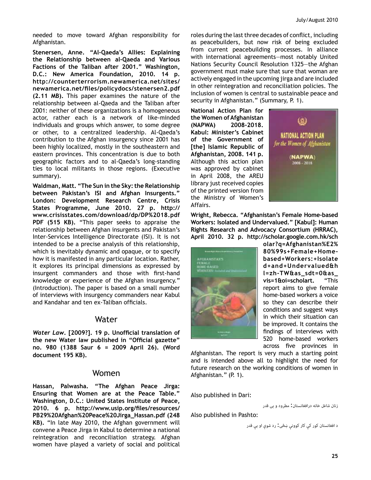needed to move toward Afghan responsibility for Afghanistan.

Stenersen, Anne. "Al-Qaeda's Allies: Explaining the Relationship between al-Qaeda and Various **Factions of the Taliban after 2001." Washington, D.C.: New America Foundation, 2010. 14 p. http://counterterrorism.newamerica.net/sites/**  $newamerica.net/files/policydocs/stenersen2.pdf$ **(2.11 MB).** This paper examines the nature of the relationship between al-Qaeda and the Taliban after 2001: neither of these organizations is a homogeneous actor, rather each is a network of like-minded individuals and groups which answer, to some degree or other, to a centralized leadership. Al-Qaeda's contribution to the Afghan insurgency since 2001 has been highly localized, mostly in the southeastern and eastern provinces. This concentration is due to both geographic factors and to al-Qaeda's long-standing ties to local militants in those regions. (Executive summary).

**Waldman, Matt. "The Sun in the Sky: the Relationship between Pakistan's ISI and Afghan Insurgents." London: Development Research Centre, Crisis States Programme, June 2010. 27 p. http:// www.crisisstates.com/download/dp/DP%2018.pdf PDF (515 KB).** "This paper seeks to appraise the relationship between Afghan insurgents and Pakistan's Inter-Services Intelligence Directorate (ISI). It is not intended to be a precise analysis of this relationship, which is inevitably dynamic and opaque, or to specify how it is manifested in any particular location. Rather, it explores its principal dimensions as expressed by insurgent commanders and those with first-hand knowledge or experience of the Afghan insurgency." (Introduction). The paper is based on a small number of interviews with insurgency commanders near Kabul and Kandahar and ten ex-Taliban officials.

#### Water

Water Law. [2009?]. 19 p. Unofficial translation of the new Water law published in "Official gazette" **no. 980 (1388 Saur 6 = 2009 April 26). (Word document 195 KB).**

## Women

**Hassan, Palwasha. "The Afghan Peace Jirga: Ensuring that Women are at the Peace Table." Washington, D.C.: United States Institute of Peace,**  2010. 6 p. http://www.usip.org/files/resources/ **PB29%20Afghan%20Peace%20Jirga\_Hassan.pdf (248 KB).** "In late May 2010, the Afghan government will convene a Peace Jirga in Kabul to determine a national reintegration and reconciliation strategy. Afghan women have played a variety of social and political

roles during the last three decades of conflict, including as peacebuilders, but now risk of being excluded from current peacebuilding processes. In alliance with international agreements—most notably United Nations Security Council Resolution 1325–the Afghan government must make sure that sure that woman are actively engaged in the upcoming jirga and are included in other reintegration and reconciliation policies. The inclusion of women is central to sustainable peace and security in Afghanistan." (Summary, P. 1).

**National Action Plan for the Women of Afghanistan**  (NAPWA) 2008-2018. **Kabul: Minister's Cabinet of the Government of [the] Islamic Republic of Afghanistan, 2008. 141 p.** Although this action plan was approved by cabinet in April 2008, the AREU library just received copies of the printed version from the Ministry of Women's Affairs.



Wright, Rebecca. "Afghanistan's Female Home-based **Workers: Isolated and Undervalued." [Kabul]: Human Rights Research and Advocacy Consortium (HRRAC), April 2010. 32 p. http://scholar.google.com.hk/sch**



**olar?q=Afghanistan%E2%** 80%99s+Female+Home**based+Workers:+Isolate d+and+Undervalued&h** l=zh-TW&as\_sdt=0&as\_ **vis=1&oi=scholart.** "This report aims to give female home-based workers a voice so they can describe their conditions and suggest ways in which their situation can be improved. It contains the findings of interviews with 520 home-based workers across five provinces in

Afghanistan. The report is very much a starting point and is intended above all to highlight the need for future research on the working conditions of women in Afghanistan." (P. 1).

Also published in Dari:

زنان شاغل خانه درافغانستان: مطرود و بی قدر

Also published in Pashto:

د افغانستان کور کې کار کوونې ښڅیرد شوې او بې قدر